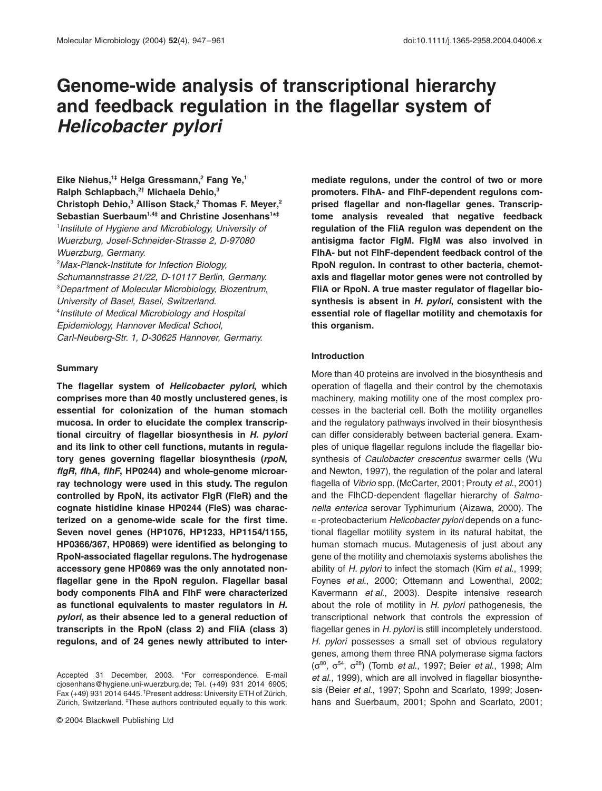# **Genome-wide analysis of transcriptional hierarchy and feedback regulation in the flagellar system of**  *Helicobacter pylori*

**Eike Niehus,1‡ Helga Gressmann,2 Fang Ye,1 Ralph Schlapbach,2† Michaela Dehio,3 Christoph Dehio,3 Allison Stack,2 Thomas F. Meyer,2 Sebastian Suerbaum1,4‡ and Christine Josenhans1 \* ‡** 1 *Institute of Hygiene and Microbiology, University of Wuerzburg, Josef-Schneider-Strasse 2, D-97080 Wuerzburg, Germany.* 2 *Max-Planck-Institute for Infection Biology, Schumannstrasse 21/22, D-10117 Berlin, Germany.* 3 *Department of Molecular Microbiology, Biozentrum, University of Basel, Basel, Switzerland.* 4 *Institute of Medical Microbiology and Hospital Epidemiology, Hannover Medical School, Carl-Neuberg-Str. 1, D-30625 Hannover, Germany.*

#### **Summary**

**The flagellar system of** *Helicobacter pylori***, which comprises more than 40 mostly unclustered genes, is essential for colonization of the human stomach mucosa. In order to elucidate the complex transcriptional circuitry of flagellar biosynthesis in** *H. pylori* **and its link to other cell functions, mutants in regulatory genes governing flagellar biosynthesis (***rpoN***,** *flgR***,** *flhA***,** *flhF***, HP0244) and whole-genome microarray technology were used in this study. The regulon controlled by RpoN, its activator FlgR (FleR) and the cognate histidine kinase HP0244 (FleS) was characterized on a genome-wide scale for the first time. Seven novel genes (HP1076, HP1233, HP1154/1155, HP0366/367, HP0869) were identified as belonging to RpoN-associated flagellar regulons. The hydrogenase accessory gene HP0869 was the only annotated nonflagellar gene in the RpoN regulon. Flagellar basal body components FlhA and FlhF were characterized as functional equivalents to master regulators in** *H. pylori***, as their absence led to a general reduction of transcripts in the RpoN (class 2) and FliA (class 3) regulons, and of 24 genes newly attributed to inter-** **mediate regulons, under the control of two or more promoters. FlhA- and FlhF-dependent regulons comprised flagellar and non-flagellar genes. Transcriptome analysis revealed that negative feedback regulation of the FliA regulon was dependent on the antisigma factor FlgM. FlgM was also involved in FlhA- but not FlhF-dependent feedback control of the RpoN regulon. In contrast to other bacteria, chemotaxis and flagellar motor genes were not controlled by FliA or RpoN. A true master regulator of flagellar biosynthesis is absent in** *H. pylori***, consistent with the essential role of flagellar motility and chemotaxis for this organism.**

## **Introduction**

More than 40 proteins are involved in the biosynthesis and operation of flagella and their control by the chemotaxis machinery, making motility one of the most complex processes in the bacterial cell. Both the motility organelles and the regulatory pathways involved in their biosynthesis can differ considerably between bacterial genera. Examples of unique flagellar regulons include the flagellar biosynthesis of *Caulobacter crescentus* swarmer cells (Wu and Newton, 1997), the regulation of the polar and lateral flagella of *Vibrio* spp. (McCarter, 2001; Prouty *et al*., 2001) and the FlhCD-dependent flagellar hierarchy of *Salmonella enterica* serovar Typhimurium (Aizawa, 2000). The Œ-proteobacterium *Helicobacter pylori* depends on a functional flagellar motility system in its natural habitat, the human stomach mucus. Mutagenesis of just about any gene of the motility and chemotaxis systems abolishes the ability of *H. pylori* to infect the stomach (Kim *et al*., 1999; Foynes *et al*., 2000; Ottemann and Lowenthal, 2002; Kavermann *et al*., 2003). Despite intensive research about the role of motility in *H. pylori* pathogenesis, the transcriptional network that controls the expression of flagellar genes in *H. pylori* is still incompletely understood. *H. pylori* possesses a small set of obvious regulatory genes, among them three RNA polymerase sigma factors (s80, s54, s28) (Tomb *et al*., 1997; Beier *et al*., 1998; Alm *et al*., 1999), which are all involved in flagellar biosynthesis (Beier *et al*., 1997; Spohn and Scarlato, 1999; Josenhans and Suerbaum, 2001; Spohn and Scarlato, 2001;

Accepted 31 December, 2003. \*For correspondence. E-mail cjosenhans@hygiene.uni-wuerzburg.de; Tel. (+49) 931 2014 6905; Fax (+49) 931 2014 6445. †Present address: University ETH of Zürich, Zürich, Switzerland. <sup>‡</sup>These authors contributed equally to this work.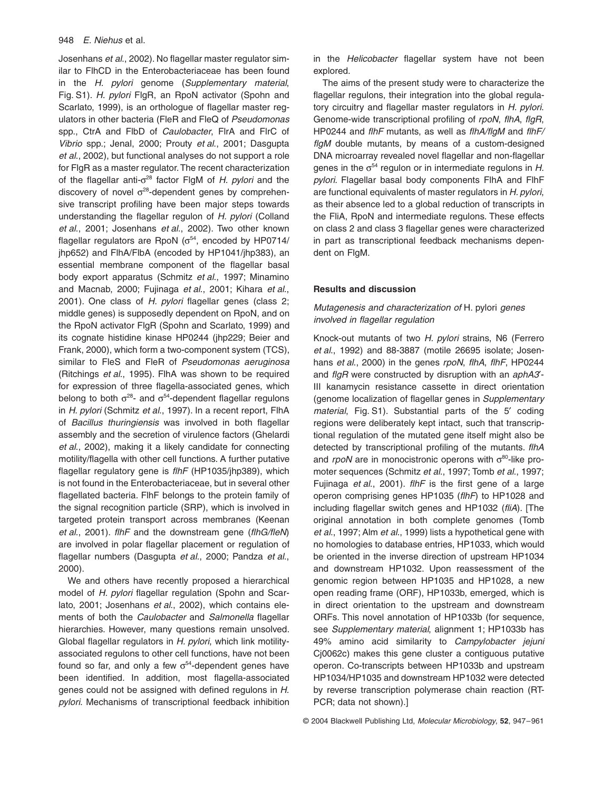Josenhans *et al*., 2002). No flagellar master regulator similar to FlhCD in the Enterobacteriaceae has been found in the *H. pylori* genome (*Supplementary material*, Fig. S1). *H. pylori* FlgR, an RpoN activator (Spohn and Scarlato, 1999), is an orthologue of flagellar master regulators in other bacteria (FleR and FleQ of *Pseudomonas* spp., CtrA and FlbD of *Caulobacter*, FlrA and FlrC of *Vibrio* spp.; Jenal, 2000; Prouty *et al*., 2001; Dasgupta *et al*., 2002), but functional analyses do not support a role for FlgR as a master regulator. The recent characterization of the flagellar anti- $\sigma^{28}$  factor FlgM of *H. pylori* and the discovery of novel  $\sigma^{28}$ -dependent genes by comprehensive transcript profiling have been major steps towards understanding the flagellar regulon of *H. pylori* (Colland *et al*., 2001; Josenhans *et al*., 2002). Two other known flagellar regulators are RpoN ( $\sigma^{54}$ , encoded by HP0714/ jhp652) and FlhA/FlbA (encoded by HP1041/jhp383), an essential membrane component of the flagellar basal body export apparatus (Schmitz *et al*., 1997; Minamino and Macnab, 2000; Fujinaga *et al*., 2001; Kihara *et al*., 2001). One class of *H. pylori* flagellar genes (class 2; middle genes) is supposedly dependent on RpoN, and on the RpoN activator FlgR (Spohn and Scarlato, 1999) and its cognate histidine kinase HP0244 (jhp229; Beier and Frank, 2000), which form a two-component system (TCS), similar to FleS and FleR of *Pseudomonas aeruginosa* (Ritchings *et al*., 1995). FlhA was shown to be required for expression of three flagella-associated genes, which belong to both  $\sigma^{28}$ - and  $\sigma^{54}$ -dependent flagellar regulons in *H. pylori* (Schmitz *et al*., 1997). In a recent report, FlhA of *Bacillus thuringiensis* was involved in both flagellar assembly and the secretion of virulence factors (Ghelardi *et al*., 2002), making it a likely candidate for connecting motility/flagella with other cell functions. A further putative flagellar regulatory gene is *flhF* (HP1035/jhp389), which is not found in the Enterobacteriaceae, but in several other flagellated bacteria. FlhF belongs to the protein family of the signal recognition particle (SRP), which is involved in targeted protein transport across membranes (Keenan *et al*., 2001). *flhF* and the downstream gene (*flhG/fleN*) are involved in polar flagellar placement or regulation of flagellar numbers (Dasgupta *et al*., 2000; Pandza *et al*., 2000).

We and others have recently proposed a hierarchical model of *H. pylori* flagellar regulation (Spohn and Scarlato, 2001; Josenhans *et al*., 2002), which contains elements of both the *Caulobacter* and *Salmonella* flagellar hierarchies. However, many questions remain unsolved. Global flagellar regulators in *H. pylori*, which link motilityassociated regulons to other cell functions, have not been found so far, and only a few  $\sigma^{54}$ -dependent genes have been identified. In addition, most flagella-associated genes could not be assigned with defined regulons in *H. pylori*. Mechanisms of transcriptional feedback inhibition

in the *Helicobacter* flagellar system have not been explored.

The aims of the present study were to characterize the flagellar regulons, their integration into the global regulatory circuitry and flagellar master regulators in *H. pylori*. Genome-wide transcriptional profiling of *rpoN*, *flhA*, *flgR*, HP0244 and *flhF* mutants, as well as *flhA/flgM* and *flhF/ flgM* double mutants, by means of a custom-designed DNA microarray revealed novel flagellar and non-flagellar genes in the  $\sigma^{54}$  regulon or in intermediate regulons in *H*. *pylori*. Flagellar basal body components FlhA and FlhF are functional equivalents of master regulators in *H. pylori*, as their absence led to a global reduction of transcripts in the FliA, RpoN and intermediate regulons. These effects on class 2 and class 3 flagellar genes were characterized in part as transcriptional feedback mechanisms dependent on FlgM.

## **Results and discussion**

# *Mutagenesis and characterization of* H. pylori *genes involved in flagellar regulation*

Knock-out mutants of two *H. pylori* strains, N6 (Ferrero *et al*., 1992) and 88-3887 (motile 26695 isolate; Josenhans *et al*., 2000) in the genes *rpoN*, *flhA*, *flhF*, HP0244 and *flgR* were constructed by disruption with an *aphA3*¢- III kanamycin resistance cassette in direct orientation (genome localization of flagellar genes in *Supplementary material*, Fig. S1). Substantial parts of the 5<sup>'</sup> coding regions were deliberately kept intact, such that transcriptional regulation of the mutated gene itself might also be detected by transcriptional profiling of the mutants. *flhA* and  $rpoN$  are in monocistronic operons with  $\sigma^{80}$ -like promoter sequences (Schmitz *et al*., 1997; Tomb *et al*., 1997; Fujinaga *et al*., 2001). *flhF* is the first gene of a large operon comprising genes HP1035 (*flhF*) to HP1028 and including flagellar switch genes and HP1032 (*fliA*). [The original annotation in both complete genomes (Tomb *et al*., 1997; Alm *et al*., 1999) lists a hypothetical gene with no homologies to database entries, HP1033, which would be oriented in the inverse direction of upstream HP1034 and downstream HP1032. Upon reassessment of the genomic region between HP1035 and HP1028, a new open reading frame (ORF), HP1033b, emerged, which is in direct orientation to the upstream and downstream ORFs. This novel annotation of HP1033b (for sequence, see *Supplementary material*, alignment 1; HP1033b has 49% amino acid similarity to *Campylobacter jejuni* Cj0062c) makes this gene cluster a contiguous putative operon. Co-transcripts between HP1033b and upstream HP1034/HP1035 and downstream HP1032 were detected by reverse transcription polymerase chain reaction (RT-PCR; data not shown).]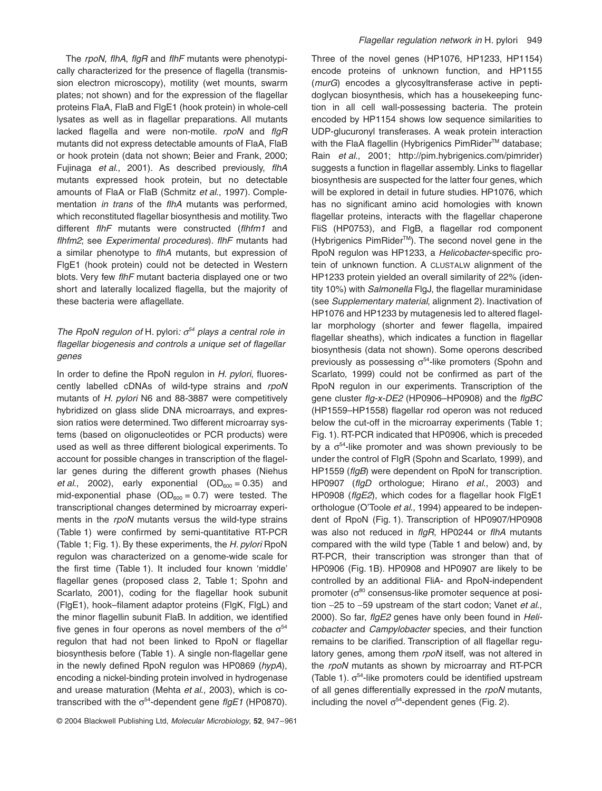The *rpoN*, *flhA*, *flgR* and *flhF* mutants were phenotypically characterized for the presence of flagella (transmission electron microscopy), motility (wet mounts, swarm plates; not shown) and for the expression of the flagellar proteins FlaA, FlaB and FlgE1 (hook protein) in whole-cell lysates as well as in flagellar preparations. All mutants lacked flagella and were non-motile. *rpoN* and *flgR* mutants did not express detectable amounts of FlaA, FlaB or hook protein (data not shown; Beier and Frank, 2000; Fujinaga *et al*., 2001). As described previously, *flhA* mutants expressed hook protein, but no detectable amounts of FlaA or FlaB (Schmitz *et al*., 1997). Complementation *in trans* of the *flhA* mutants was performed, which reconstituted flagellar biosynthesis and motility. Two different *flhF* mutants were constructed (*flhfm1* and *flhfm2*; see *Experimental procedures*). *flhF* mutants had a similar phenotype to *flhA* mutants, but expression of FlgE1 (hook protein) could not be detected in Western blots. Very few *flhF* mutant bacteria displayed one or two short and laterally localized flagella, but the majority of these bacteria were aflagellate.

# *The RpoN regulon of H. pylori:*  $\sigma^{54}$  *plays a central role in flagellar biogenesis and controls a unique set of flagellar genes*

In order to define the RpoN regulon in *H. pylori*, fluorescently labelled cDNAs of wild-type strains and *rpoN* mutants of *H. pylori* N6 and 88-3887 were competitively hybridized on glass slide DNA microarrays, and expression ratios were determined. Two different microarray systems (based on oligonucleotides or PCR products) were used as well as three different biological experiments. To account for possible changes in transcription of the flagellar genes during the different growth phases (Niehus *et al.*, 2002), early exponential  $(OD_{600} = 0.35)$  and mid-exponential phase  $(OD_{600} = 0.7)$  were tested. The transcriptional changes determined by microarray experiments in the *rpoN* mutants versus the wild-type strains (Table 1) were confirmed by semi-quantitative RT-PCR (Table 1; Fig. 1). By these experiments, the *H. pylori* RpoN regulon was characterized on a genome-wide scale for the first time (Table 1). It included four known 'middle' flagellar genes (proposed class 2, Table 1; Spohn and Scarlato, 2001), coding for the flagellar hook subunit (FlgE1), hook–filament adaptor proteins (FlgK, FlgL) and the minor flagellin subunit FlaB. In addition, we identified five genes in four operons as novel members of the  $\sigma^{54}$ regulon that had not been linked to RpoN or flagellar biosynthesis before (Table 1). A single non-flagellar gene in the newly defined RpoN regulon was HP0869 (*hypA*), encoding a nickel-binding protein involved in hydrogenase and urease maturation (Mehta *et al*., 2003), which is cotranscribed with the  $\sigma^{54}$ -dependent gene *flgE1* (HP0870). Three of the novel genes (HP1076, HP1233, HP1154) encode proteins of unknown function, and HP1155 (*murG*) encodes a glycosyltransferase active in peptidoglycan biosynthesis, which has a housekeeping function in all cell wall-possessing bacteria. The protein encoded by HP1154 shows low sequence similarities to UDP-glucuronyl transferases. A weak protein interaction with the FlaA flagellin (Hybrigenics PimRider™ database; Rain *et al*., 2001; [http://pim.hybrigenics.com/pimrider\)](http://pim.hybrigenics.com/pimrider) suggests a function in flagellar assembly. Links to flagellar biosynthesis are suspected for the latter four genes, which will be explored in detail in future studies. HP1076, which has no significant amino acid homologies with known flagellar proteins, interacts with the flagellar chaperone FliS (HP0753), and FlgB, a flagellar rod component (Hybrigenics PimRiderTM). The second novel gene in the RpoN regulon was HP1233, a *Helicobacter*-specific protein of unknown function. A CLUSTALW alignment of the HP1233 protein yielded an overall similarity of 22% (identity 10%) with *Salmonella* FlgJ, the flagellar muraminidase (see *Supplementary material*, alignment 2). Inactivation of HP1076 and HP1233 by mutagenesis led to altered flagellar morphology (shorter and fewer flagella, impaired flagellar sheaths), which indicates a function in flagellar biosynthesis (data not shown). Some operons described previously as possessing  $\sigma^{54}$ -like promoters (Spohn and Scarlato, 1999) could not be confirmed as part of the RpoN regulon in our experiments. Transcription of the gene cluster *flg-x-DE2* (HP0906–HP0908) and the *flgBC* (HP1559–HP1558) flagellar rod operon was not reduced below the cut-off in the microarray experiments (Table 1; Fig. 1). RT-PCR indicated that HP0906, which is preceded by a  $\sigma^{54}$ -like promoter and was shown previously to be under the control of FlgR (Spohn and Scarlato, 1999), and HP1559 (*flgB*) were dependent on RpoN for transcription. HP0907 (*flgD* orthologue; Hirano *et al*., 2003) and HP0908 (*flgE2*), which codes for a flagellar hook FlgE1 orthologue (O'Toole *et al*., 1994) appeared to be independent of RpoN (Fig. 1). Transcription of HP0907/HP0908 was also not reduced in *flgR*, HP0244 or *flhA* mutants compared with the wild type (Table 1 and below) and, by RT-PCR, their transcription was stronger than that of HP0906 (Fig. 1B). HP0908 and HP0907 are likely to be controlled by an additional FliA- and RpoN-independent promoter ( $\sigma^{80}$  consensus-like promoter sequence at position -25 to -59 upstream of the start codon; Vanet *et al*., 2000). So far, *flgE2* genes have only been found in *Helicobacter* and *Campylobacter* species, and their function remains to be clarified. Transcription of all flagellar regulatory genes, among them *rpoN* itself, was not altered in the *rpoN* mutants as shown by microarray and RT-PCR (Table 1).  $\sigma^{54}$ -like promoters could be identified upstream of all genes differentially expressed in the *rpoN* mutants, including the novel  $\sigma^{54}$ -dependent genes (Fig. 2).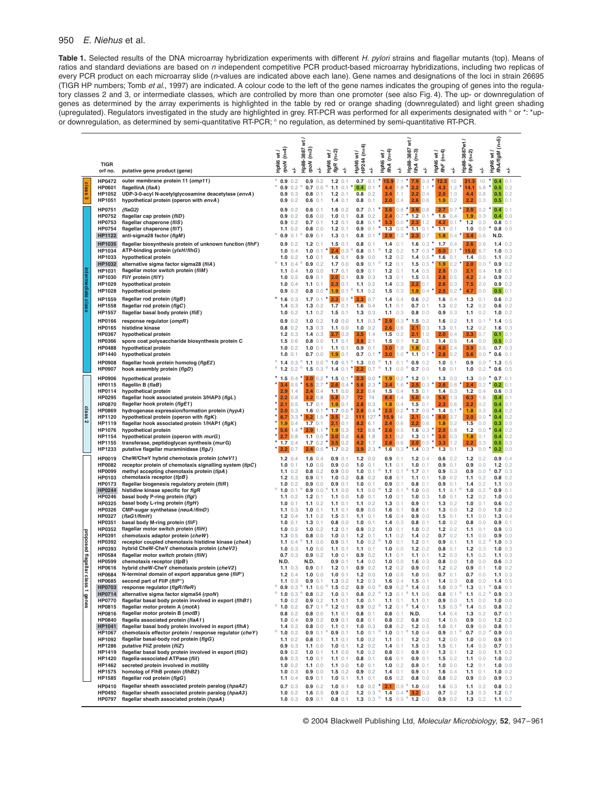# 950 *E. Niehus* et al.

**Table 1.** Selected results of the DNA microarray hybridization experiments with different *H. pylori* strains and flagellar mutants (top). Means of ratios and standard deviations are based on *n* independent competitive PCR product-based microarray hybridizations, including two replicas of every PCR product on each microarray slide (*n*-values are indicated above each lane). Gene names and designations of the loci in strain 26695 (TIGR HP numbers; Tomb *et al*., 1997) are indicated. A colour code to the left of the gene names indicates the grouping of genes into the regulatory classes 2 and 3, or intermediate classes, which are controlled by more than one promoter (see also Fig. 4). The up- or downregulation of genes as determined by the array experiments is highlighted in the table by red or orange shading (downregulated) and light green shading (upregulated). Regulators investigated in the study are highlighted in grey. RT-PCR was performed for all experiments designated with ∞ or \*: \*upor downregulation, as determined by semi-quantitative RT-PCR; ∞ no regulation, as determined by semi-quantitative RT-PCR.

|  |                          |                                |                                                                                                            | $(n=4)$<br>V TV               |                            |                             |                                     | $\overline{\mathbf{s}}$                   | $\overline{\mathbf{x}}$ |                                 |                                            |            |                                               | wt /                              |                                         |                               |                     | $(n=5)$                                      |            |
|--|--------------------------|--------------------------------|------------------------------------------------------------------------------------------------------------|-------------------------------|----------------------------|-----------------------------|-------------------------------------|-------------------------------------------|-------------------------|---------------------------------|--------------------------------------------|------------|-----------------------------------------------|-----------------------------------|-----------------------------------------|-------------------------------|---------------------|----------------------------------------------|------------|
|  |                          | <b>TIGR</b><br>orf no.         | putative gene product (gene)                                                                               | HpN6<br>rpoN                  | \$                         | Hp88-3887 wt/<br>rpoN (n=3) | \$                                  | $(n=2)$<br>HpN6<br>figR (r<br>$\div$      | HP244 (n=4)<br>HpN6     | $\ddagger$                      | f/hA $(n=4)$<br>w /<br>HpN6                | $\ddagger$ | Hp88-3887 wt/<br>fih $A$ (n=3)                | $(n=4)$<br>HpN6<br>fihF<br>$\div$ | \$                                      | Hp88-3887wt/<br>$f$ IhF (n=2) | \$                  | $\overline{\mathbf{x}}$<br>fihA/figM<br>HpN6 | \$         |
|  |                          | HP0472                         | outer membrane protein 11 (omp11)                                                                          | $^{\circ}$ 0.9 0.2            |                            | 0.9                         | 0.2                                 | $1.2 \t0.1$                               | 0.7                     | 0.1                             | $*15.9$                                    | 7.1        | ۸<br>7.9                                      | 3.3<br>12.5                       | 10                                      | 21.3                          | 10                  | 0.4                                          | 0.1        |
|  | class <sub>3</sub>       | HP0601                         | flagellinA (flaA)                                                                                          | ö                             | 0.9 0.2                    | $\circ$<br>0.7              | 0.0                                 | $\circ$<br>$1.1 \t0.1$                    | 0.4                     | 0.1                             | $\star$<br>4.4                             | 1.8        | 2.2                                           | ×<br>1.1<br>4.3                   | $1.2*$                                  | 14.1                          | 5.8                 | 0.5                                          | 0.2        |
|  |                          | HP1052                         | UDP-3-0-acyl N-acetylglycosamine deacetylase (envA)                                                        |                               | 0.9 0.3                    | 0.8                         | 0.1                                 | $1.2 \t0.1$                               | 0.8                     | 0.2                             | 3.4                                        | 1.1        | 2.2                                           | 2.0<br>0.4                        | 1.0                                     | 4.4                           | 0.8                 | $0.5$ 0.2                                    |            |
|  |                          | HP1051                         | hypothetical protein (operon with envA)                                                                    |                               | 0.9 0.2                    | 0.6                         | 0.1                                 | 1.4<br>0.1                                | 0.8                     | 0.1                             | 2.0                                        | 0.4        | 2.6                                           | 0.6<br>1.9                        | 0.2                                     | 2.2                           | 0.3                 | 0.5<br>$0.4 \ 0.1$                           | 0.1        |
|  |                          | HP0751<br><b>HP0752</b>        | (flaG2)<br>flagellar cap protein (fliD)                                                                    |                               | 0.9 0.2<br>0.9 0.2         |                             | $0.6$ 0.1<br>0.6 0.0                | $1.6 \t0.2$<br>$1.0 \t0.1$                | 0.8                     | $0.7 \t0.1$<br>0.2              | 3.6<br>2.4                                 | 0.8<br>0.7 | $*$ 3.9 0.8<br>۸<br>$1.2 \t0.1$               | 2.7<br>1.6                        | 0.7<br>0.4                              | 2.9<br>1.9                    | 0.2<br>0.3          | 0.4 0.0                                      |            |
|  |                          | HP0753                         | flagellar chaperone (fliS)                                                                                 |                               | 0.9 0.2                    |                             | 0.7 0.1                             | $1.2 \t0.1$                               | 0.8                     | 0.1                             | 3.3                                        | 0.0        | 2.3                                           | 1.2<br>4.2                        | 0.1                                     | $1.2$                         | 0.0                 | $0.8 \t0.1$                                  |            |
|  |                          | HP0754                         | flagellar chaperone (fliT)                                                                                 |                               | $1.1 \t0.2$                |                             | 0.8 0.0                             | $1.2 \t0.1$                               | 0.9                     | 0.1                             | $\star$<br>1.3                             | 0.0        | $*$ 1.1 0.1                                   | 1.1                               | 0.1                                     | 1.0                           | 0.0                 | 0.8                                          | 0.0        |
|  |                          | HP1122                         | anti-sigma28 factor (flgM)                                                                                 |                               | 0.9 0.1                    |                             | 0.9 0.1                             | $1.3 \t0.1$                               | 0.8<br>0.8              | 0.1                             | $\star$ 2.9                                | 1.3        | $*$ 2.3 0.7<br>$1.6 \t0.3$                    | 1.8                               |                                         | $0.4$ * 3.4                   | 0.6                 | N.D.<br>$1.4 \t0.2$                          |            |
|  |                          | <b>HP1035</b><br>HP1034        | flagellar biosynthesis protein of unknown function (flhF)<br>ATP-binding protein (ylxH/flhG)               |                               | 0.9 0.2<br>$1.0 \t0.4$     | 1.0                         | $1.2 \t0.1$<br>0.1                  | $1.5 \t0.1$<br>2.4 0.3                    | $\circ$<br>0.8          | 0.1<br>0.1                      | 1.4<br>$\circ$<br>$1.2$                    | 0.1<br>0.2 | 1.7                                           | 0.3<br>6.0                        | $1.7 \t0.4$<br>2.1                      | 2.6<br>15.0                   | 0.6<br>6.7          | $1.0 \t0.3$                                  |            |
|  |                          | HP1033                         | hypothetical protein                                                                                       |                               | $1.0 \t0.2$                |                             | 1.0 0.1                             | $1.6$ 0.1                                 | 0.9                     | 0.0                             | 1.2                                        | 0.2        | $1.4 \t0.5$                                   | ×<br>1.6                          | 0.1                                     | 1.4                           | 0.0                 | $1.1 \t0.2$                                  |            |
|  |                          | HP1032                         | alternative sigma factor sigma28 (fliA)                                                                    | ۰                             | $1.1 \t0.4$                |                             | 0.9 0.2                             | $1.7 \t0.0$                               | 0.9                     | 0.1                             | o<br>$1.2$                                 | 0.1        | $1.5 \t0.5$                                   | 1.9                               | $0.2$ $*$                               | 2.0                           | 0.0                 | 0.9 0.2                                      |            |
|  | intermediate class       | HP1031<br>HP1030               | flagellar motor switch protein (fliM)<br>FliY protein (fliY)                                               |                               | 1.1 $0.4$<br>$1.0 \t0.5$   |                             | $1.0 \t0.0$<br>0.9 0.1              | 1.7<br>0.1<br>2.0<br>0.1                  | 0.9                     | 0.1<br>0.9 0.3                  | 1.2<br>1.3                                 | 0.1<br>0.1 | $1.4 \t0.5$<br>$1.5 \t0.5$                    | 2.9<br>2.8                        | 1.0<br>0.5                              | 2.1<br>4.2                    | 0.4<br>2.4          | $1.0 \t0.1$<br>0.9 0.2                       |            |
|  |                          | HP1029                         | hypothetical protein                                                                                       |                               | $1.0 \t0.4$                |                             | $1.1 \t0.1$                         | 2.3<br>0.1                                | 1.1                     | 0.2                             | $1.4 \t0.3$                                |            | $2.2$ 0.1                                     | 2.6                               | 0.3                                     | 7.5                           | 2.0                 | 0.9 0.2                                      |            |
|  |                          | HP1028                         | hypothetical protein                                                                                       |                               | 0.9 0.3                    |                             |                                     | 0.8 0.0 $*$ 1.9 0.1 ° 1.1 0.2             |                         |                                 | 1.5                                        | 0.3        | 1.9 0.4                                       | 2.5                               | $0.2$ *                                 | 4.7                           | 0.0                 | $0.5$ 0.1                                    |            |
|  |                          | HP1559                         | flagellar rod protein (flgB)                                                                               | $*$ 1.6 0.3                   |                            |                             | $1.7 \t0.1$                         | $*$ 2.3 0.1 $*$ 2.3                       |                         | 0.7                             | $1.4 \quad 0.4$                            |            | $0.6 \t0.2$                                   |                                   | 1.6 $0.4$                               | 1.3                           | 0.1                 | $0.6 \t0.2$                                  |            |
|  |                          | HP1558<br>HP1557               | flagellar rod protein (flgC)<br>flagellar basal body protein (fliE)                                        |                               | $1.4 \t0.3$<br>$1.0 \t0.2$ |                             | $1.3 \t0.2$<br>$1.1 \t0.2$          | $1.7 \t0.1$<br>$1.5 \t0.1$                | 1.6<br>1.3              | 0.4<br>0.3                      | $1.1 \t0.1$<br>$1.1 \t0.3$                 |            | $0.7 \t0.1$<br>$0.8 \t0.0$                    | 1.3<br>0.9                        | 0.2<br>0.3                              | $1.2$<br>1.1                  | 0.2<br>0.2          | $0.6 \t0.2$<br>$1.0 \t0.2$                   |            |
|  |                          | <b>HP0166</b>                  | response regulator (ompR)                                                                                  |                               | 0.9 0.2                    |                             | $1.0 \t0.2$                         | 1.0 0.0                                   | 1.1                     | 0.3                             | 2.9                                        | 0.3        | $1.5 \t0.2$                                   | 1.6                               | 0.2                                     | 1.1                           | 0.1                 | $\circ$<br>$1.4 \t0.5$                       |            |
|  |                          | <b>HP0165</b>                  | histidine kinase                                                                                           |                               | $0.8 \t0.2$                |                             | $1.3 \t0.3$                         | $1.1 \t0.0$                               | 1.0                     | 0.2                             | 2.6                                        | 0.6        | 2.1 0.3                                       | 1.3                               | 0.1                                     | $1.2$                         | 0.2                 | $1.6 \t0.3$                                  |            |
|  |                          | HP0367                         | hypothetical protein                                                                                       |                               | $1.2 \t0.3$                |                             | $1.4 \t0.3$                         | $2.7 \, 0.3$                              | 3.5                     | 1.4                             | 1.5                                        | 0.2        | $2.1$ 1.0                                     | 2.0                               | 0.4                                     | 3.3                           | 0.7                 | $0.1$ 0.1                                    |            |
|  |                          | <b>HP0366</b>                  | spore coat polysaccharide biosynthesis protein C                                                           |                               | $1.5 \t0.6$<br>$1.0 \t0.2$ |                             | $0.8 \quad 0.0$                     | $1.1 \t0.1$                               |                         | $3.8$ 2.1                       | 1.5                                        | 0.1        | $1.2 \t0.5$                                   |                                   | $1.4 \t0.5$<br>2.4                      | 1.4                           | 0.0<br>0.5          | $0.5$ 0.2<br>0.7 0.3                         |            |
|  |                          | <b>HP0488</b><br>HP1440        | hypothetical protein<br>hypothetical protein                                                               |                               | $1.0 \t0.1$                |                             | $1.0 \t0.1$<br>0.7 0.0              | $1.1 \t0.1$<br>$1.9$ 0.1                  | 0.9<br>0.7              | 0.1<br>0.1                      | 3.0<br>٠<br>3.0                            | 1.9<br>1.0 | $1.8$ 0.2<br>$1.1 \t0.1$                      | 4.0<br>2.8                        | 0.2                                     | 3.9<br>5.6                    | 0.0                 | $0.6 \t0.1$                                  |            |
|  |                          | <b>HP0908</b>                  | flagellar hook protein homolog (flgE2)                                                                     | $^{\circ}$ 1.4 0.3            |                            | $^{\circ}$ 1.1 0.0          |                                     | $^{\circ}$ 1.0 0.1 $^{\circ}$ 1.3         |                         | 0.0                             | $\circ$<br>1.1                             | 0.1        | $\circ$<br>0.9 0.2                            | 1.0                               | 0.1                                     | 0.9                           | 0.0                 | $\circ$<br>$1.3 \t0.5$                       |            |
|  |                          | <b>HP0907</b>                  | hook assembly protein (flgD)                                                                               | $^{\circ}$ 1.2 0.2            |                            | $\circ$                     |                                     | 1.5 0.3 $^{\circ}$ 1.4 0.1 $^{\star}$ 2.2 |                         | 0.7                             | $\circ$<br>1.1                             | 0.0        | $\circ$<br>$0.7 \t0.0$                        | 1.0                               | 0.1                                     | 1.0                           | 0.2                 | 0.6 0.5                                      |            |
|  |                          | <b>HP0906</b>                  | hypothetical protein                                                                                       | $*$ 1.5 0.4                   |                            |                             | $2.0$ 0.2                           | $1.5 \t0.1$<br>ж.                         | 2.3                     | 0.0                             | 1.9                                        | 0.2        | *<br>$1.2 \t0.1$                              | 1.3                               | 0.0                                     | 1.3                           | 0.0                 | *<br>$0.7 \t0.1$                             |            |
|  |                          | HP0115<br>HP0114               | flagellin B (flaB)<br>hypothetical protein                                                                 | 2.9                           | $3.4$ 0.5<br>1.4           |                             | $5.5$ 2.7<br>$2.4$ 0.4              | $2.6$ 0.4 $*$<br>$1.1 \t0.0$              | 5.6<br>2.2              | 2.3<br>0.4                      | 3.4<br>1.5                                 | 1.6<br>0.4 | $2.5$ 0.3<br>$1.5 \t0.1$                      | 2.8<br>1.4                        | 0.8<br>0.3                              | 2.4<br>$1.2$                  | 0.2<br>0.4          | $0.2$ 0.1<br>$0.6\;0.3$                      |            |
|  |                          | HP0295                         | flagellar hook associated protein 3/HAP3 (flgL)                                                            | ۰<br>2.2                      | 0.8                        |                             | $3.2 \ 0.8$                         | 5.8 0.7                                   | 72                      | 74                              | 8.4                                        | 1.4        | 5.04.9                                        | 5.6                               | 1.3                                     | 6.3                           | 1.6                 | $0.4$ 0.1                                    |            |
|  |                          | <b>HP0870</b>                  | flagellar hook protein (flgE1)                                                                             | ۰                             | $2.1$ 0.5                  |                             | $1.7 \t0.1$                         | 1.9<br>0.1                                | 2.8                     | 0.3                             | 1.8                                        | 0.4        | 1.5                                           | 0.1<br>2.3                        | 0.6                                     | 2.2                           | 0.2                 | 0.4                                          | 0.1        |
|  | class <sub>2</sub>       | <b>HP0869</b><br>HP1120        | hydrogenase expression/formation protein (hypA)<br>hypothetical protein (operon with flgK)                 | 8.7                           | 2.0 0.3<br>3.3             |                             | 1.6 $0.1$ *<br>$5.2$ 1.5            | $1.7 0.0*$<br>3.5<br>1.2                  | 2.8<br>111              | 0.4<br>127                      | 2.5<br>15.9                                | 0.2<br>14  | $1.7 0.0*$<br>2.1                             | 1.4<br>0.5<br>8.0                 | $0.1$ *<br>3.7                          | 1.8<br>2.0                    | 0.3<br>0.0          | 0.4<br>0.4                                   | 0.2<br>0.2 |
|  |                          | HP1119                         | flagellar hook associated protein 1/HAP1 (flgK)                                                            | 1.9 0.4                       |                            |                             | $1.7 \t0.1$                         | $2.1$ 0.1                                 | 8.2                     | 6.1                             | 2.4                                        | 0.6        | $2.2$ 0.6                                     | 1.8                               | 0.2                                     | 1.5                           | 0.0                 | 0.3                                          | 0.0        |
|  |                          | HP1076                         | hypothetical protein                                                                                       | ۰                             | 5.61.4                     | 2.9                         | 1.1                                 | 1.9 0.3<br>*                              | 12                      | 8.6                             | 2.6                                        | 0.5        | $1.6 \t0.3$                                   | 2.0<br>×                          | 0.8                                     | 1.2                           | 0.0                 | 0.4                                          | 0.2        |
|  |                          | HP1154<br>HP1155               | hypothetical protein (operon with murG)<br>transferase, peptidoglycan synthesis (murG)                     | $2.7 \ 0.8$<br>$1.7 \t0.4$    |                            |                             | $1.1 \t0.0$<br>$1.7 \t0.2$          | 3.0 0.2<br>$3.5$ 0.2                      | 4.8<br>4.2              | 1.8<br>1.7                      | 3.1<br>2.8                                 | 0.2<br>0.6 | 1.3<br>$2.0$ 0.5                              | 0.1<br>3.0<br>×<br>3.3            | 0.3<br>1.2                              | 1.8<br>2.2                    | 0.1<br>0.3          | 0.4<br>0.5                                   | 0.2<br>0.3 |
|  |                          | HP1233                         | putative flagellar muraminidase (flgJ)                                                                     | 2.2 0.7                       |                            |                             | $2.4$ 0.5                           | $1.7 \t0.2$                               | 3.9                     | 2.3                             | 1.6                                        | 0.3        | 1.4                                           | 1.3<br>0.3                        | 0.1                                     | 1.3                           | 0.0                 | 0.2                                          | 0.0        |
|  |                          | HP0019                         | CheW/CheY hybrid chemotaxis protein (cheV1)                                                                |                               | $1.2 \t0.4$                |                             | $1.6 \t0.4$                         | 0.9 0.1                                   |                         | $1.2 \t0.0$                     | 0.9                                        | 0.1        | $1.2 \t0.4$                                   | 0.6                               | 0.2                                     | $1.2$                         | 0.2                 | 0.9 0.4                                      |            |
|  |                          | <b>HP0082</b><br><b>HP0099</b> | receptor protein of chemotaxis signalling system (tlpC)<br>methyl accepting chemotaxis protein (tlpA)      | 1.0 0.1                       | $1.1 \t0.2$                |                             | 1.0 0.0<br>$0.8 \t0.2$              | 0.9 0.0<br>0.9 0.0                        | 1.0<br>1.0              | 0.1<br>0.1                      | 1.1<br>$\circ$<br>1.1                      | 0.<br>0.1  | 1.0<br>1.7                                    | 0.1<br>0.9<br>0.1<br>0.9          | 0.1<br>0.3                              | 0.9<br>0.9                    | 0.0<br>0.0          | $1.2 \t0.2$<br>$\circ$<br>0.7 0.3            |            |
|  |                          | <b>HP0103</b>                  | chemotaxis receptor (tlpB)                                                                                 |                               | $1.2 \t0.3$                |                             | 0.9 0.1                             | $1.0 \t0.2$                               | 0.8                     | 0.2                             | 0.8                                        | 0.1        | $1.1 \t0.1$                                   | 1.0                               | 0.2                                     | 1.1                           | 0.2                 | $0.8 \t0.2$                                  |            |
|  |                          | <b>HP0173</b>                  | flagellar biogenesis regulatory protein (fliR)                                                             |                               | $1.0 \t0.2$                |                             | 0.9 0.0                             | 0.9 0.1<br>$\circ$                        | 1.0                     | 0.1                             | 0.9                                        | 0.1        | 0.8                                           | 0.9<br>0.1                        | 0.1                                     | 1.4                           | 0.2                 | $1.1 \t0.0$                                  |            |
|  |                          | HP0244<br>HP0246               | histidine kinase specific for flgR<br>basal body P-ring protein (flgl)                                     |                               | $1.0 \t0.1$<br>$1.1 \t0.2$ |                             | 0.9 0.0<br>$1.2 \t0.1$              | $1.1 \t0.0$<br>$1.1 \t0.0$                | 1.1<br>1.0              | 0.0<br>0.1                      | $1.2 \t0.1$<br>1.0                         | 0.1        | 1.0 0.0<br>$1.0 \t0.3$                        | 1.1<br>1.0                        | 0.1<br>0.1                              | 1.0<br>$1.2 \t0.2$            | 0.2                 | 0.9 0.1<br>1.0 0.0                           |            |
|  |                          | HP0325                         | basal body L-ring protein (flgH)                                                                           | $1.0 \t0.1$                   |                            |                             | $1.1 \t0.2$                         | $1.1 \t0.1$                               | 1.1                     | 0.2                             | 1.3                                        | 0.1        | 0.9                                           | 0.1<br>1.3                        | 0.2                                     | 1.0                           | 0.1                 | 0.6 0.2                                      |            |
|  |                          | HP0326                         | CMP-sugar synthetase (neuA/flmD)                                                                           |                               | $1.1 \t0.3$                |                             | $1.0 \t0.1$                         | $1.1 \t0.1$                               | 0.9                     | 0.0                             | 1.6<br>1.6                                 | 0.1<br>0.4 | 0.8<br>0.9                                    | 0.1<br>1.3                        | 0.0<br>0.1                              | $1.2$                         | 0.0<br>0.0          | $1.0 \t0.2$<br>$1.3 \t0.4$                   |            |
|  |                          | HP0327<br>HP0351               | (flaG1/fImH)<br>basal body M-ring protein (fliF)                                                           | $1.0 \t0.1$                   | $1.2 \t0.4$                |                             | $1.1 \t0.2$<br>$1.3 \t0.1$          | $1.5 \t0.1$<br>0.8<br>0.0                 | 1.1<br>1.0              | 0.1<br>0.1                      | 1.4                                        | 0.3        | 0.8                                           | 0.0<br>1.5<br>0.1<br>1.0          | 0.2                                     | 1.1<br>0.8                    | 0.0                 | 0.9                                          | 0.1        |
|  |                          | HP0352                         | flagellar motor switch protein (fliH)                                                                      |                               | $1.0 \t0.2$                |                             | $1.0 \t0.2$                         | $1.2 \t0.1$                               | 0.9                     | 0.2                             | 1.0                                        | 0.1        | 1.0 $0.2$                                     | $1.2$                             | 0.2                                     | 1.1                           | 0.1                 | 0.9                                          | 0.0        |
|  |                          | <b>HP0391</b><br>HP0392        | chemotaxis adaptor protein (cheW)<br>receptor coupled chemotaxis histidine kinase (cheA)                   |                               | $1.3 \t0.5$<br>1.1 $0.4$   |                             | $0.8 \t0.0$<br>$1.1 \t0.0$          | $1.0 \t0.1$<br>0.9 0.1                    | 1.2<br>1.0              | 0.1<br>0.2                      | 1.1<br>$\circ$<br>1.0                      | 0.2<br>0.1 | $1.4 \t0.2$<br>$1.2 \t0.1$                    | 0.9                               | $0.7 \quad 0.2$<br>0.1                  | 1.1<br>1.1                    | 0.0<br>0.2          | 0.9 0.0<br>$\circ$<br>$1.0 \t0.3$            |            |
|  | proposed flagellar class | HP0393                         | hybrid CheW-CheY chemotaxis protein (cheV3)                                                                |                               | $1.0 \t0.3$                |                             | $1.0 \t0.0$                         | $1.1 \t0.1$                               | 1.1                     | 0.1                             | 1.0                                        | 0.0        | $1.2 \t0.2$                                   | 0.8                               | 0.1                                     | 1.2                           | 0.3                 | $1.0 \t0.3$                                  |            |
|  |                          | HP0584                         | flagellar motor switch protein (fliN)                                                                      |                               | 0.7 0.3                    |                             | 0.9 0.2                             | $1.0 \t0.1$                               | 0.9                     | 0.2                             | $1.1 \quad 0.1$                            |            | $1.1 \t0.1$                                   |                                   | $1.2 \t0.3$                             | 1.1                           | 0.2                 | $1.1 \t0.3$                                  |            |
|  |                          | HP0599<br>HP0616               | chemotaxis receptor (tlpB)<br>hybrid cheW-CheY chemotaxis protein (cheV2)                                  | N.D.                          | $1.1 \t0.3$                | N.D.                        | 0.9 0.1                             | 0.9 0.1<br>$1.2 \t0.1$                    | 1.4<br>0.9              | 0.0<br>0.2                      | 1.0<br>1.2                                 | 0.0<br>0.2 | $1.6 \t0.3$<br>0.9                            | 0.8<br>0.0<br>1.2                 | 0.0<br>0.2                              | 1.0<br>0.9                    | 0.0<br>0.1          | 0.6 0.3<br>$1.0 \t0.2$                       |            |
|  |                          | HP0684                         | N-terminal domain of export apparatus gene (fliP')                                                         |                               | $1.2 \t0.4$                |                             | $1.0 \t0.0$                         | $1.0 \t0.1$                               |                         | $1.2 \quad 0.0$                 | 1.0                                        | 0.0        | $1.0 \t0.0$                                   | 0.7                               | 0.1                                     | 0.7                           | 0.0                 | $1.1 \t0.3$                                  |            |
|  |                          | <b>HP0685</b>                  | second part of FliP (fliP")                                                                                | $\circ$                       | $1.1 \t0.3$<br>0.9 0.3     | $^{\circ}$ 1.1 0.0          | $0.9 \t0.1$                         | $1.3 \t0.2$<br>$^{\circ}$ 1.5 0.2         |                         | $1.2 \t0.3$<br>$0.9 \quad 0.0$  | 1.6<br>$\circ$                             | 0.4        | $1.5 \t0.1$<br>$\circ$<br>$1.4 \t0.3$         |                                   | $1.4 \t0.3$                             | 0.8                           | 0.0                 | $1.4 \t0.5$                                  |            |
|  |                          | <b>HP0703</b><br>HP0714        | response regulator (flgR/fleR)<br>alternative sigma factor sigma54 (rpoN)                                  | $^{\circ}$ 1.0 0.3 $^{\circ}$ |                            |                             | $0.8 \t0.2$                         | $1.0 \t0.1$                               |                         | $0.8 \t0.2$ °                   | 0.9<br>1.3                                 | 0.2<br>0.1 | $^{\circ}$ 1.1 0.0                            | 1.0<br>0.8                        | 0.3<br>$0.1$ $^{\circ}$                 | 1.3<br>1.1                    | 0.1<br>0.2          | 0.6<br>0.9 0.3                               | 0.1        |
|  | genes                    | <b>HP0770</b>                  | flagellar basal body protein involved in export (flhB1)                                                    |                               | $1.0 \t0.2$                |                             | 0.9 0.2                             | $1.1 \t0.1$                               | 1.0                     | 0.1                             | $1.1 \t0.1$                                |            | $1.1 \t0.1$                                   | 0.9                               | 0.0                                     | 1.1                           | 0.0                 | 1.0 0.0                                      |            |
|  |                          | HP0815<br>HP0816               | flagellar motor protein A (motA)<br>flagellar motor protein B (motB)                                       | ۰                             | $1.0 \t0.2$<br>$0.8 \t0.2$ |                             | $0.7 \t0.1$<br>$0.8 \t0.0$          | o<br>$1.2 \t0.1$<br>$1.1 \t0.1$           | 0.9<br>0.8              | 0.2<br>0.1                      | $\circ$<br>$1.2 \t0.1$<br>0.8              | 0.1        | $^{\circ}$ 1.4 0.1<br>N.D.                    | 1.5<br>1.4                        | 0.3<br>0.4                              | $\circ$<br>1.4<br>1.3         | 0.0<br>0.2          | $0.8 \t0.2$<br>$0.7 \t0.1$                   |            |
|  |                          | <b>HP0840</b>                  | flagella associated protein (flaA1)                                                                        |                               | $1.0 \t0.4$                |                             | 0.9 0.2                             | 0.9 0.1                                   | 0.8                     | 0.1                             | 0.8                                        | 0.2        | $0.8 \t0.0$                                   | 1.4                               | 0.5                                     | 0.9                           | 0.0                 | $1.2 \t0.2$                                  |            |
|  |                          | <b>HP1041</b>                  | flagellar basal body protein involved in export (flhA)                                                     | ۰                             | $1.4 \t0.3$                |                             | $0.8 \t0.0$                         | $1.1 \t0.1$                               |                         | $1.0 \t0.3$                     | $0.8 \t0.2$                                |            | $1.2 \t0.5$                                   | 1.0                               | 0.1                                     | 0.9                           | 0.0                 | $0.8 \t0.1$                                  |            |
|  |                          | <b>HP1067</b><br>HP1092        | chemotaxis effector protein / response regulator (cheY)<br>flagellar basal-body rod protein (flgG)         |                               | $1.0 \t0.2$<br>$1.1 \t0.2$ |                             | $0.9$ 0.1 $^{\circ}$<br>$0.8 \t0.1$ | 0.9 0.1<br>$1.1 \t0.1$                    |                         | $1.0 \t 0.1$<br>$1.0 \t 0.2$    | $\circ$<br>$1.0 \t 0.1$<br>$1.1 \quad 0.1$ |            | $^{\circ}$ 1.0 0.4<br>$1.2 \t0.2$             |                                   | $0.9 \t0.1$ <sup>o</sup><br>$1.2 \t0.0$ | 1.0                           | $0.7 \t 0.2$<br>0.0 | 0.9 0.0<br>$0.9 \ 0.1$                       |            |
|  |                          | <b>HP1286</b>                  | putative FliZ protein (fliZ)                                                                               |                               | 0.9 0.3                    |                             | $1.1 \t0.0$                         | $1.0 \t0.1$                               |                         | $1.2 \t0.2$                     | $1.4 \t0.1$                                |            | $1.5 \t0.3$                                   |                                   | $1.5 \t0.1$                             | 1.4                           | 0.3                 | $0.7 \t0.3$                                  |            |
|  |                          | HP1419                         | flagellar basal body protein involved in export (fliQ)                                                     |                               | 0.9 0.2                    |                             | $1.0 \t0.1$                         | $1.1 \t0.0$                               |                         | $1.0 \t 0.2$<br>$0.8 \quad 0.1$ | $0.8 \t0.1$                                |            | 0.9 0.1                                       |                                   | $1.3 \t0.1$                             | $1.2 \t0.0$                   |                     | $1.1 \t0.2$                                  |            |
|  |                          | <b>HP1420</b><br>HP1462        | flagella-associated ATPase (flil)<br>secreted protein involved in motility                                 |                               | 0.9 0.3<br>$1.0 \t0.2$     |                             | $1.0 \t0.1$<br>$1.1 \t0.0$          | $1.1 \t0.1$<br>$1.1 \t0.0$                | 1.0                     | 0.1                             | $0.6$ 0.1<br>$1.0 \t 0.2$                  |            | $0.9 \t0.1$<br>$0.9 \t0.1$                    | 1.0                               | $1.5 \t0.2$<br>0.0                      | 1.1<br>$1.2$                  | 0.0<br>0.1          | $1.0 \t0.2$<br>$1.0 \t0.0$                   |            |
|  |                          | <b>HP1575</b>                  | homolog of FIhB protein (flhB2)                                                                            |                               | $1.0 \t0.3$                |                             | 0.9 0.0                             | $1.5 \t0.2$                               |                         | $0.9 \t0.2$                     | $1.4 \t0.1$                                |            | $0.9 \ 0.1$                                   | 1.6                               | 0.4                                     | 1.1                           | 0.1                 | $1.0 \t0.2$                                  |            |
|  |                          | HP1585                         | flagellar rod protein (flgG)                                                                               |                               | $1.1 \t0.4$                |                             | 0.9 0.1                             | $1.0 \t0.1$                               |                         | $1.1 \t0.1$                     | $0.6 \t 0.2$                               |            | $0.8 \t0.0$                                   |                                   | $0.8 \t0.2$                             | $0.9 \quad 0.0$               |                     | 0.9 0.3                                      |            |
|  |                          | <b>HP0410</b><br><b>HP0492</b> | flagellar sheath associated protein paralog (hpaA2)<br>flagellar sheath associated protein paralog (hpaA3) |                               | 0.7 0.3<br>$1.0 \t0.2$     |                             | 0.9 0.2<br>$1.6$ 0.5                | $1.0 \t0.1$<br>0.9 0.2                    | 1.0                     | 0.2<br>$1.2 \t0.3$              | 1.4 $0.4$ *                                |            | 2.1 0.9 $^{\circ}$ 1.0 0.0<br>3.2 0.3         | 1.6                               | 0.3<br>$0.7 \quad 0.2$                  | 1.1<br>1.3                    | 0.2<br>0.3          | $0.8 \t0.2$<br>$1.2 \t0.7$                   |            |
|  |                          | <b>HP0797</b>                  | flagellar sheath associated protein (hpaA)                                                                 |                               | $1.0 \t0.3$                |                             | 0.9 0.1                             | $0.8 \t0.1$                               |                         |                                 |                                            |            | 1.3 0.3 $^{\circ}$ 1.5 0.5 $^{\circ}$ 1.2 0.0 |                                   | $0.9 \t0.2$                             | $1.3 \t 0.2$                  |                     | $1.1 \t0.2$                                  |            |

© 2004 Blackwell Publishing Ltd, *Molecular Microbiology*, **52**, 947–961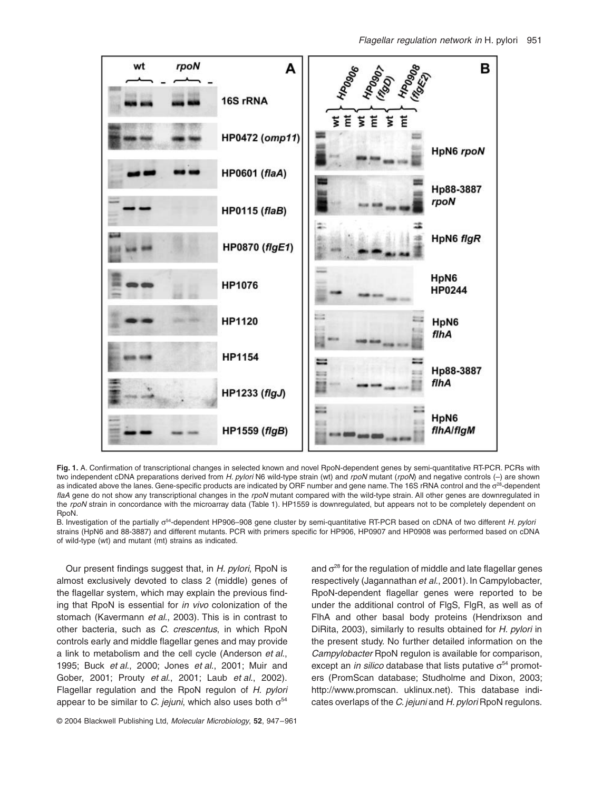

Fig. 1. A. Confirmation of transcriptional changes in selected known and novel RpoN-dependent genes by semi-quantitative RT-PCR. PCRs with two independent cDNA preparations derived from *H. pylori* N6 wild-type strain (wt) and *rpoN* mutant (*rpoN*) and negative controls (–) are shown as indicated above the lanes. Gene-specific products are indicated by ORF number and gene name. The 16S rRNA control and the  $\sigma^{28}$ -dependent *flaA* gene do not show any transcriptional changes in the *rpoN* mutant compared with the wild-type strain. All other genes are downregulated in the *rpoN* strain in concordance with the microarray data (Table 1). HP1559 is downregulated, but appears not to be completely dependent on RpoN.

B. Investigation of the partially s54-dependent HP906–908 gene cluster by semi-quantitative RT-PCR based on cDNA of two different *H. pylori* strains (HpN6 and 88-3887) and different mutants. PCR with primers specific for HP906, HP0907 and HP0908 was performed based on cDNA of wild-type (wt) and mutant (mt) strains as indicated.

Our present findings suggest that, in *H. pylori*, RpoN is almost exclusively devoted to class 2 (middle) genes of the flagellar system, which may explain the previous finding that RpoN is essential for *in vivo* colonization of the stomach (Kavermann *et al*., 2003). This is in contrast to other bacteria, such as *C. crescentus*, in which RpoN controls early and middle flagellar genes and may provide a link to metabolism and the cell cycle (Anderson *et al*., 1995; Buck *et al*., 2000; Jones *et al*., 2001; Muir and Gober, 2001; Prouty *et al*., 2001; Laub *et al*., 2002). Flagellar regulation and the RpoN regulon of *H. pylori* appear to be similar to *C. jejuni*, which also uses both  $\sigma^{54}$ 

and  $\sigma^{28}$  for the regulation of middle and late flagellar genes respectively (Jagannathan *et al*., 2001). In Campylobacter, RpoN-dependent flagellar genes were reported to be under the additional control of FlgS, FlgR, as well as of FlhA and other basal body proteins (Hendrixson and DiRita, 2003), similarly to results obtained for *H. pylori* in the present study. No further detailed information on the *Campylobacter* RpoN regulon is available for comparison, except an *in silico* database that lists putative  $\sigma^{54}$  promoters (PromScan database; Studholme and Dixon, 2003; [http://www.promscan.](http://www.promscan) uklinux.net). This database indicates overlaps of the *C. jejuni* and *H. pylori* RpoN regulons.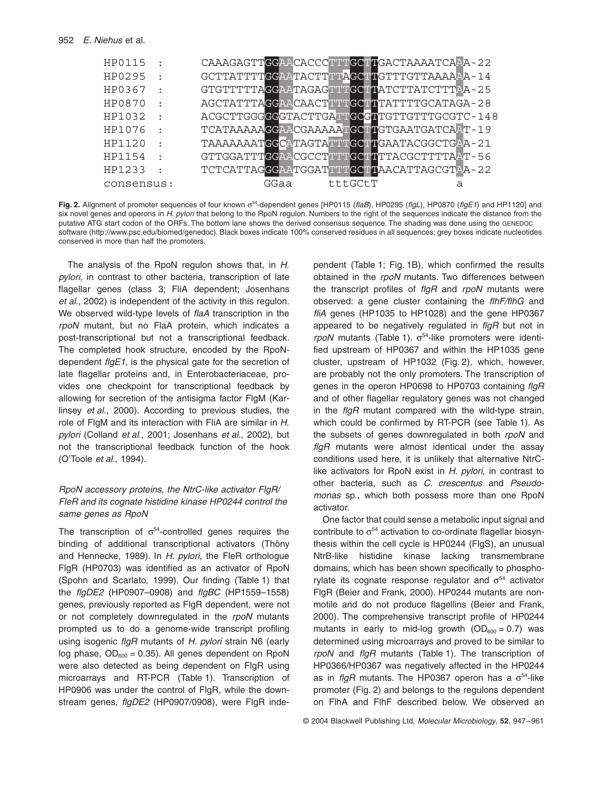| HP0115     | $\bullet$ |      |         | CAAAGAGTTCCAACACCCTTTCCTTCACTAAAATCAAA-22  |
|------------|-----------|------|---------|--------------------------------------------|
| HP0295     |           |      |         | GCTTATTTTGGAATACTTTTAGCTTGTTTGTTAAAAAA-14  |
| HP0367     |           |      |         | GTGTTTTTAGGAATAGAGTTTGCTTATCTTATCTTTAA-25  |
| HP0870     | $\bullet$ |      |         | AGCTATTTAGGAACAACTTTTGCTTTTTGCATAGA-28     |
| HP1032     | $\bullet$ |      |         | ACGCTTGGGGGGTACTTGATTGGGTTGTTGTTTGCGTC-148 |
| HP1076     |           |      |         | TCATAAAAAGGAACGAAAAATGCTTGTGAATGATCAAT-19  |
| HP1120     | $\bullet$ |      |         | TAAAAAAATGGCATAGTATTTGCTTGAATACGGCTGAA-21  |
| HP1154     | $\bullet$ |      |         | GTTGGATTTGGAACGCCTTTTGCTTTTACGCTTTTAAT-56  |
| HP1233     | $\bullet$ |      |         | TCTCATTAGGGAATGGATTTTGCTTAACATTAGCGTAA-22  |
| consensus: |           | GGaa | tttGCtT | а                                          |

Fig. 2. Alignment of promoter sequences of four known  $\sigma^{54}$ -dependent genes [HP0115 (*flaB*), HP0295 (*flgL*), HP0870 (*flgE1*) and HP1120] and six novel genes and operons in *H. pylori* that belong to the RpoN regulon. Numbers to the right of the sequences indicate the distance from the putative ATG start codon of the ORFs. The bottom lane shows the derived consensus sequence. The shading was done using the GENEDOC software (<http://www.psc.edu/biomed/genedoc>). Black boxes indicate 100% conserved residues in all sequences; grey boxes indicate nucleotides conserved in more than half the promoters.

The analysis of the RpoN regulon shows that, in *H. pylori*, in contrast to other bacteria, transcription of late flagellar genes (class 3; FliA dependent; Josenhans *et al*., 2002) is independent of the activity in this regulon. We observed wild-type levels of *flaA* transcription in the *rpoN* mutant, but no FlaA protein, which indicates a post-transcriptional but not a transcriptional feedback. The completed hook structure, encoded by the RpoNdependent *flgE1*, is the physical gate for the secretion of late flagellar proteins and, in Enterobacteriaceae, provides one checkpoint for transcriptional feedback by allowing for secretion of the antisigma factor FlgM (Karlinsey *et al*., 2000). According to previous studies, the role of FlgM and its interaction with FliA are similar in *H. pylori* (Colland *et al*., 2001; Josenhans *et al*., 2002), but not the transcriptional feedback function of the hook (O'Toole *et al*., 1994).

# *RpoN accessory proteins, the NtrC-like activator FlgR/ FleR and its cognate histidine kinase HP0244 control the same genes as RpoN*

The transcription of  $\sigma^{54}$ -controlled genes requires the binding of additional transcriptional activators (Thöny and Hennecke, 1989). In *H. pylori*, the FleR orthologue FlgR (HP0703) was identified as an activator of RpoN (Spohn and Scarlato, 1999). Our finding (Table 1) that the *flgDE2* (HP0907–0908) and *flgBC* (HP1559–1558) genes, previously reported as FlgR dependent, were not or not completely downregulated in the *rpoN* mutants prompted us to do a genome-wide transcript profiling using isogenic *flgR* mutants of *H. pylori* strain N6 (early log phase,  $OD_{600} = 0.35$ ). All genes dependent on RpoN were also detected as being dependent on FlgR using microarrays and RT-PCR (Table 1). Transcription of HP0906 was under the control of FlgR, while the downstream genes, *flgDE2* (HP0907/0908), were FlgR independent (Table 1; Fig. 1B), which confirmed the results obtained in the *rpoN* mutants. Two differences between the transcript profiles of *flgR* and *rpoN* mutants were observed: a gene cluster containing the *flhF/flhG* and *fliA* genes (HP1035 to HP1028) and the gene HP0367 appeared to be negatively regulated in *flgR* but not in  $rpoN$  mutants (Table 1).  $\sigma^{54}$ -like promoters were identified upstream of HP0367 and within the HP1035 gene cluster, upstream of HP1032 (Fig. 2), which, however, are probably not the only promoters. The transcription of genes in the operon HP0698 to HP0703 containing *flgR* and of other flagellar regulatory genes was not changed in the *flgR* mutant compared with the wild-type strain, which could be confirmed by RT-PCR (see Table 1). As the subsets of genes downregulated in both *rpoN* and *flgR* mutants were almost identical under the assay conditions used here, it is unlikely that alternative NtrClike activators for RpoN exist in *H. pylori*, in contrast to other bacteria, such as *C. crescentus* and *Pseudomonas* sp., which both possess more than one RpoN activator.

One factor that could sense a metabolic input signal and contribute to  $\sigma^{54}$  activation to co-ordinate flagellar biosynthesis within the cell cycle is HP0244 (FlgS), an unusual NtrB-like histidine kinase lacking transmembrane domains, which has been shown specifically to phosphorylate its cognate response regulator and  $\sigma^{54}$  activator FlgR (Beier and Frank, 2000). HP0244 mutants are nonmotile and do not produce flagellins (Beier and Frank, 2000). The comprehensive transcript profile of HP0244 mutants in early to mid-log growth  $(OD_{600} = 0.7)$  was determined using microarrays and proved to be similar to *rpoN* and *flgR* mutants (Table 1). The transcription of HP0366/HP0367 was negatively affected in the HP0244 as in *flgR* mutants. The HP0367 operon has a  $\sigma^{54}$ -like promoter (Fig. 2) and belongs to the regulons dependent on FlhA and FlhF described below. We observed an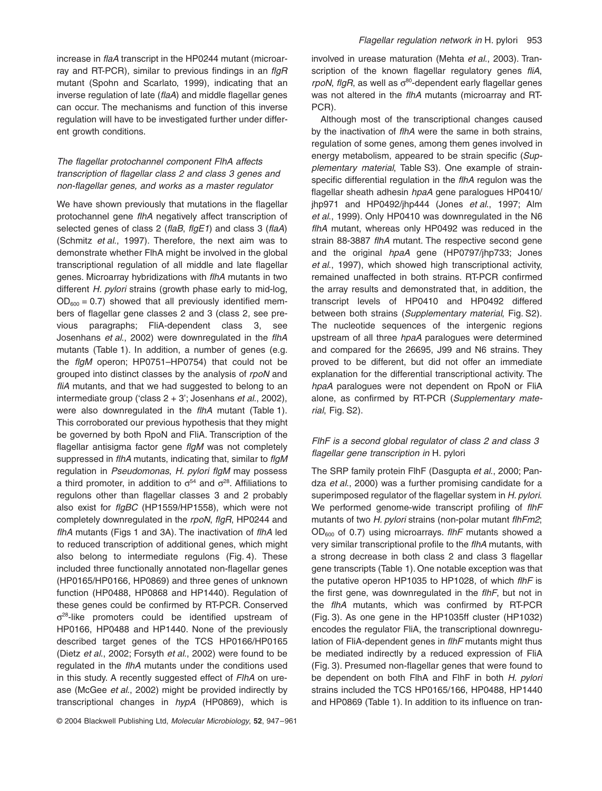increase in *flaA* transcript in the HP0244 mutant (microarray and RT-PCR), similar to previous findings in an *flgR* mutant (Spohn and Scarlato, 1999), indicating that an inverse regulation of late (*flaA*) and middle flagellar genes can occur. The mechanisms and function of this inverse regulation will have to be investigated further under different growth conditions.

# *The flagellar protochannel component FlhA affects transcription of flagellar class 2 and class 3 genes and non-flagellar genes, and works as a master regulator*

We have shown previously that mutations in the flagellar protochannel gene *flhA* negatively affect transcription of selected genes of class 2 (*flaB*, *flgE1*) and class 3 (*flaA*) (Schmitz *et al*., 1997). Therefore, the next aim was to demonstrate whether FlhA might be involved in the global transcriptional regulation of all middle and late flagellar genes. Microarray hybridizations with *flhA* mutants in two different *H. pylori* strains (growth phase early to mid-log,  $OD_{600} = 0.7$ ) showed that all previously identified members of flagellar gene classes 2 and 3 (class 2, see previous paragraphs; FliA-dependent class 3, see Josenhans *et al*., 2002) were downregulated in the *flhA* mutants (Table 1). In addition, a number of genes (e.g. the *flgM* operon; HP0751–HP0754) that could not be grouped into distinct classes by the analysis of *rpoN* and *fliA* mutants, and that we had suggested to belong to an intermediate group ('class 2 + 3'; Josenhans *et al*., 2002), were also downregulated in the *flhA* mutant (Table 1). This corroborated our previous hypothesis that they might be governed by both RpoN and FliA. Transcription of the flagellar antisigma factor gene *flgM* was not completely suppressed in *flhA* mutants, indicating that, similar to *flgM* regulation in *Pseudomonas*, *H. pylori flgM* may possess a third promoter, in addition to  $\sigma^{54}$  and  $\sigma^{28}$ . Affiliations to regulons other than flagellar classes 3 and 2 probably also exist for *flgBC* (HP1559/HP1558), which were not completely downregulated in the *rpoN*, *flgR*, HP0244 and *flhA* mutants (Figs 1 and 3A). The inactivation of *flhA* led to reduced transcription of additional genes, which might also belong to intermediate regulons (Fig. 4). These included three functionally annotated non-flagellar genes (HP0165/HP0166, HP0869) and three genes of unknown function (HP0488, HP0868 and HP1440). Regulation of these genes could be confirmed by RT-PCR. Conserved  $\sigma^{28}$ -like promoters could be identified upstream of HP0166, HP0488 and HP1440. None of the previously described target genes of the TCS HP0166/HP0165 (Dietz *et al*., 2002; Forsyth *et al*., 2002) were found to be regulated in the *flhA* mutants under the conditions used in this study. A recently suggested effect of *FlhA* on urease (McGee *et al*., 2002) might be provided indirectly by transcriptional changes in *hypA* (HP0869), which is

involved in urease maturation (Mehta *et al*., 2003). Transcription of the known flagellar regulatory genes *fliA*, *rpoN*, *flgR*, as well as  $\sigma^{80}$ -dependent early flagellar genes was not altered in the *flhA* mutants (microarray and RT-PCR).

Although most of the transcriptional changes caused by the inactivation of *flhA* were the same in both strains, regulation of some genes, among them genes involved in energy metabolism, appeared to be strain specific (*Supplementary material*, Table S3). One example of strainspecific differential regulation in the *flhA* regulon was the flagellar sheath adhesin *hpaA* gene paralogues HP0410/ jhp971 and HP0492/jhp444 (Jones *et al*., 1997; Alm *et al*., 1999). Only HP0410 was downregulated in the N6 *flhA* mutant, whereas only HP0492 was reduced in the strain 88-3887 *flhA* mutant. The respective second gene and the original *hpaA* gene (HP0797/jhp733; Jones *et al*., 1997), which showed high transcriptional activity, remained unaffected in both strains. RT-PCR confirmed the array results and demonstrated that, in addition, the transcript levels of HP0410 and HP0492 differed between both strains (*Supplementary material*, Fig. S2). The nucleotide sequences of the intergenic regions upstream of all three *hpaA* paralogues were determined and compared for the 26695, J99 and N6 strains. They proved to be different, but did not offer an immediate explanation for the differential transcriptional activity. The *hpaA* paralogues were not dependent on RpoN or FliA alone, as confirmed by RT-PCR (*Supplementary material*, Fig. S2).

# *FlhF is a second global regulator of class 2 and class 3 flagellar gene transcription in* H. pylori

The SRP family protein FlhF (Dasgupta *et al*., 2000; Pandza *et al*., 2000) was a further promising candidate for a superimposed regulator of the flagellar system in *H. pylori*. We performed genome-wide transcript profiling of *flhF* mutants of two *H. pylori* strains (non-polar mutant *flhFm2*; OD600 of 0.7) using microarrays. *flhF* mutants showed a very similar transcriptional profile to the *flhA* mutants, with a strong decrease in both class 2 and class 3 flagellar gene transcripts (Table 1). One notable exception was that the putative operon HP1035 to HP1028, of which *flhF* is the first gene, was downregulated in the *flhF*, but not in the *flhA* mutants, which was confirmed by RT-PCR (Fig. 3). As one gene in the HP1035ff cluster (HP1032) encodes the regulator FliA, the transcriptional downregulation of FliA-dependent genes in *flhF* mutants might thus be mediated indirectly by a reduced expression of FliA (Fig. 3). Presumed non-flagellar genes that were found to be dependent on both FlhA and FlhF in both *H. pylori* strains included the TCS HP0165/166, HP0488, HP1440 and HP0869 (Table 1). In addition to its influence on tran-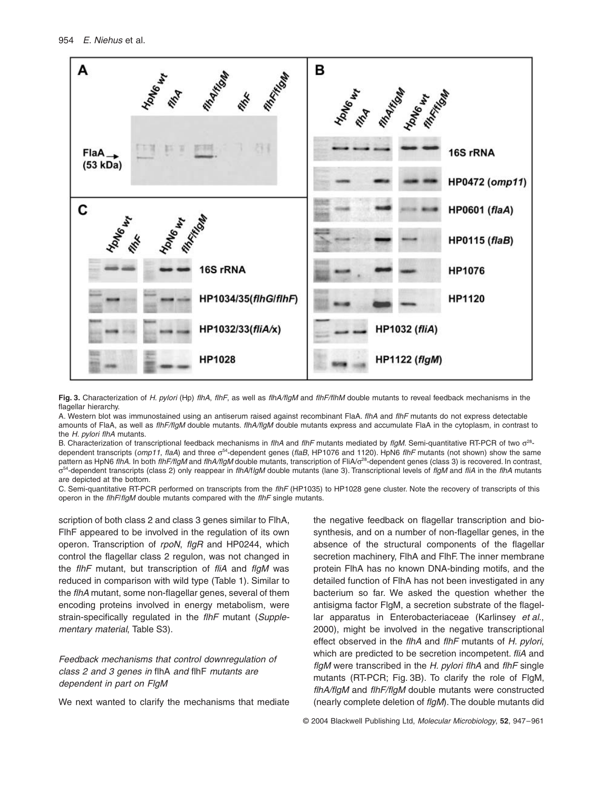

**Fig. 3.** Characterization of *H. pylori* (Hp) *flhA*, *flhF*, as well as *flhA/flgM* and *flhF/flhM* double mutants to reveal feedback mechanisms in the flagellar hierarchy.

A. Western blot was immunostained using an antiserum raised against recombinant FlaA. *flhA* and *flhF* mutants do not express detectable amounts of FlaA, as well as *flhF/flgM* double mutants. *flhA/flgM* double mutants express and accumulate FlaA in the cytoplasm, in contrast to the *H. pylori flhA* mutants.

B. Characterization of transcriptional feedback mechanisms in *flhA* and *flhF* mutants mediated by *flgM*. Semi-quantitative RT-PCR of two  $\sigma^{28}$ dependent transcripts (*omp11*, *flaA*) and three  $\sigma^{54}$ -dependent genes (*flaB*, HP1076 and 1120). HpN6 *flhF* mutants (not shown) show the same pattern as HpN6 *flhA.* In both *flhF/flgM* and *flhA/flgM* double mutants, transcription of FliA/ $\sigma$ <sup>28</sup>-dependent genes (class 3) is recovered. In contrast, s54-dependent transcripts (class 2) only reappear in *flhA*/f*lgM* double mutants (lane 3). Transcriptional levels of *flgM* and *fliA* in the *flhA* mutants are depicted at the bottom.

C. Semi-quantitative RT-PCR performed on transcripts from the *flhF* (HP1035) to HP1028 gene cluster. Note the recovery of transcripts of this operon in the *flhF*/*flgM* double mutants compared with the *flhF* single mutants.

scription of both class 2 and class 3 genes similar to FlhA, FlhF appeared to be involved in the regulation of its own operon. Transcription of *rpoN*, *flgR* and HP0244, which control the flagellar class 2 regulon, was not changed in the *flhF* mutant, but transcription of *fliA* and *flgM* was reduced in comparison with wild type (Table 1). Similar to the *flhA* mutant, some non-flagellar genes, several of them encoding proteins involved in energy metabolism, were strain-specifically regulated in the *flhF* mutant (*Supplementary material*, Table S3).

# *Feedback mechanisms that control downregulation of class 2 and 3 genes in* flhA *and* flhF *mutants are dependent in part on FlgM*

We next wanted to clarify the mechanisms that mediate

the negative feedback on flagellar transcription and biosynthesis, and on a number of non-flagellar genes, in the absence of the structural components of the flagellar secretion machinery, FlhA and FlhF. The inner membrane protein FlhA has no known DNA-binding motifs, and the detailed function of FlhA has not been investigated in any bacterium so far. We asked the question whether the antisigma factor FlgM, a secretion substrate of the flagellar apparatus in Enterobacteriaceae (Karlinsey *et al*., 2000), might be involved in the negative transcriptional effect observed in the *flhA* and *flhF* mutants of *H. pylori*, which are predicted to be secretion incompetent. *fliA* and *flgM* were transcribed in the *H. pylori flhA* and *flhF* single mutants (RT-PCR; Fig. 3B). To clarify the role of FlgM, *flhA/flgM* and *flhF/flgM* double mutants were constructed (nearly complete deletion of *flgM*). The double mutants did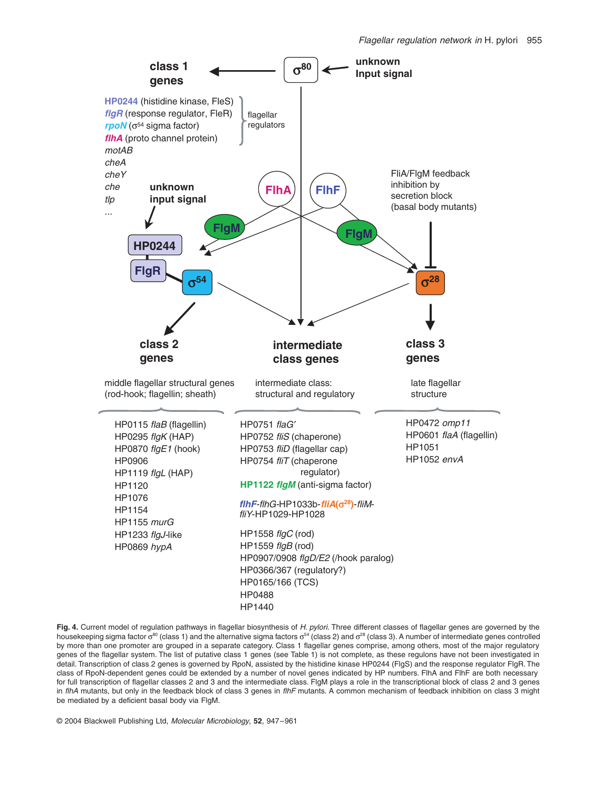

**Fig. 4.** Current model of regulation pathways in flagellar biosynthesis of *H. pylori.* Three different classes of flagellar genes are governed by the housekeeping sigma factor  $\sigma^{80}$  (class 1) and the alternative sigma factors  $\sigma^{54}$  (class 2) and  $\sigma^{28}$  (class 3). A number of intermediate genes controlled by more than one promoter are grouped in a separate category. Class 1 flagellar genes comprise, among others, most of the major regulatory genes of the flagellar system. The list of putative class 1 genes (see Table 1) is not complete, as these regulons have not been investigated in detail. Transcription of class 2 genes is governed by RpoN, assisted by the histidine kinase HP0244 (FlgS) and the response regulator FlgR. The class of RpoN-dependent genes could be extended by a number of novel genes indicated by HP numbers. FlhA and FlhF are both necessary for full transcription of flagellar classes 2 and 3 and the intermediate class. FlgM plays a role in the transcriptional block of class 2 and 3 genes in *flhA* mutants, but only in the feedback block of class 3 genes in *flhF* mutants. A common mechanism of feedback inhibition on class 3 might be mediated by a deficient basal body via FlgM.

© 2004 Blackwell Publishing Ltd, *Molecular Microbiology*, **52**, 947–961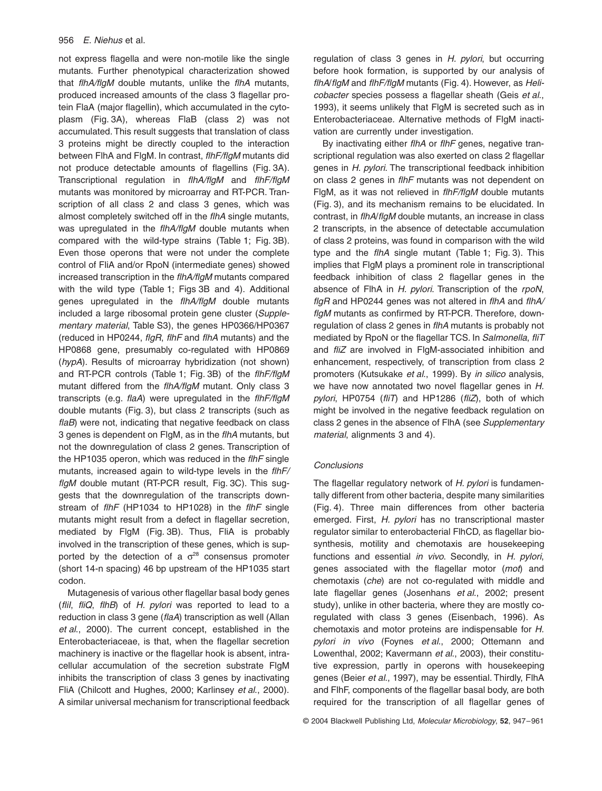not express flagella and were non-motile like the single mutants. Further phenotypical characterization showed that *flhA/flgM* double mutants, unlike the *flhA* mutants, produced increased amounts of the class 3 flagellar protein FlaA (major flagellin), which accumulated in the cytoplasm (Fig. 3A), whereas FlaB (class 2) was not accumulated. This result suggests that translation of class 3 proteins might be directly coupled to the interaction between FlhA and FlgM. In contrast, *flhF/flgM* mutants did not produce detectable amounts of flagellins (Fig. 3A). Transcriptional regulation in *flhA/flgM* and *flhF/flgM* mutants was monitored by microarray and RT-PCR. Transcription of all class 2 and class 3 genes, which was almost completely switched off in the *flhA* single mutants, was upregulated in the *flhA/flgM* double mutants when compared with the wild-type strains (Table 1; Fig. 3B). Even those operons that were not under the complete control of FliA and/or RpoN (intermediate genes) showed increased transcription in the *flhA/flgM* mutants compared with the wild type (Table 1; Figs 3B and 4). Additional genes upregulated in the *flhA/flgM* double mutants included a large ribosomal protein gene cluster (*Supplementary material*, Table S3), the genes HP0366/HP0367 (reduced in HP0244, *flgR*, *flhF* and *flhA* mutants) and the HP0868 gene, presumably co-regulated with HP0869 (*hypA*). Results of microarray hybridization (not shown) and RT-PCR controls (Table 1; Fig. 3B) of the *flhF/flgM* mutant differed from the *flhA/flgM* mutant. Only class 3 transcripts (e.g. *flaA*) were upregulated in the *flhF/flgM* double mutants (Fig. 3), but class 2 transcripts (such as *flaB*) were not, indicating that negative feedback on class 3 genes is dependent on FlgM, as in the *flhA* mutants, but not the downregulation of class 2 genes. Transcription of the HP1035 operon, which was reduced in the *flhF* single mutants, increased again to wild-type levels in the *flhF/ flgM* double mutant (RT-PCR result, Fig. 3C). This suggests that the downregulation of the transcripts downstream of *flhF* (HP1034 to HP1028) in the *flhF* single mutants might result from a defect in flagellar secretion, mediated by FlgM (Fig. 3B). Thus, FliA is probably involved in the transcription of these genes, which is supported by the detection of a  $\sigma^{28}$  consensus promoter (short 14-n spacing) 46 bp upstream of the HP1035 start codon.

Mutagenesis of various other flagellar basal body genes (*fliI*, *fliQ*, *flhB*) of *H. pylori* was reported to lead to a reduction in class 3 gene (*flaA*) transcription as well (Allan *et al*., 2000). The current concept, established in the Enterobacteriaceae, is that, when the flagellar secretion machinery is inactive or the flagellar hook is absent, intracellular accumulation of the secretion substrate FlgM inhibits the transcription of class 3 genes by inactivating FliA (Chilcott and Hughes, 2000; Karlinsey *et al*., 2000). A similar universal mechanism for transcriptional feedback regulation of class 3 genes in *H. pylori*, but occurring before hook formation, is supported by our analysis of *flhA*/*flgM* and *flhF/flgM* mutants (Fig. 4). However, as *Helicobacter* species possess a flagellar sheath (Geis *et al*., 1993), it seems unlikely that FlgM is secreted such as in Enterobacteriaceae*.* Alternative methods of FlgM inactivation are currently under investigation.

By inactivating either *flhA* or *flhF* genes, negative transcriptional regulation was also exerted on class 2 flagellar genes in *H. pylori*. The transcriptional feedback inhibition on class 2 genes in *flhF* mutants was not dependent on FlgM, as it was not relieved in *flhF/flgM* double mutants (Fig. 3), and its mechanism remains to be elucidated. In contrast, in *flhA*/*flgM* double mutants, an increase in class 2 transcripts, in the absence of detectable accumulation of class 2 proteins, was found in comparison with the wild type and the *flhA* single mutant (Table 1; Fig. 3). This implies that FlgM plays a prominent role in transcriptional feedback inhibition of class 2 flagellar genes in the absence of FlhA in *H. pylori*. Transcription of the *rpoN*, *flgR* and HP0244 genes was not altered in *flhA* and *flhA/ flgM* mutants as confirmed by RT-PCR. Therefore, downregulation of class 2 genes in *flhA* mutants is probably not mediated by RpoN or the flagellar TCS. In *Salmonella*, *fliT* and *fliZ* are involved in FlgM-associated inhibition and enhancement, respectively, of transcription from class 2 promoters (Kutsukake *et al*., 1999). By *in silico* analysis, we have now annotated two novel flagellar genes in *H. pylori*, HP0754 (*fliT*) and HP1286 (*fliZ*), both of which might be involved in the negative feedback regulation on class 2 genes in the absence of FlhA (see *Supplementary material*, alignments 3 and 4).

## *Conclusions*

The flagellar regulatory network of *H. pylori* is fundamentally different from other bacteria, despite many similarities (Fig. 4). Three main differences from other bacteria emerged. First, *H. pylori* has no transcriptional master regulator similar to enterobacterial FlhCD, as flagellar biosynthesis, motility and chemotaxis are housekeeping functions and essential *in vivo*. Secondly, in *H. pylori*, genes associated with the flagellar motor (*mot*) and chemotaxis (*che*) are not co-regulated with middle and late flagellar genes (Josenhans *et al*., 2002; present study), unlike in other bacteria, where they are mostly coregulated with class 3 genes (Eisenbach, 1996). As chemotaxis and motor proteins are indispensable for *H. pylori in vivo* (Foynes *et al*., 2000; Ottemann and Lowenthal, 2002; Kavermann *et al*., 2003), their constitutive expression, partly in operons with housekeeping genes (Beier *et al*., 1997), may be essential. Thirdly, FlhA and FlhF, components of the flagellar basal body, are both required for the transcription of all flagellar genes of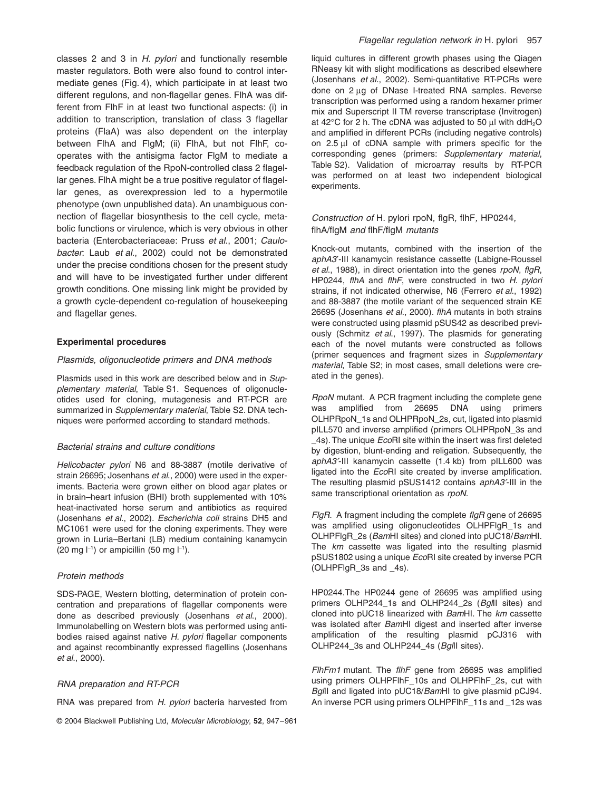classes 2 and 3 in *H. pylori* and functionally resemble master regulators. Both were also found to control intermediate genes (Fig. 4), which participate in at least two different regulons, and non-flagellar genes. FlhA was different from FlhF in at least two functional aspects: (i) in addition to transcription, translation of class 3 flagellar proteins (FlaA) was also dependent on the interplay between FlhA and FlgM; (ii) FlhA, but not FlhF, cooperates with the antisigma factor FlgM to mediate a feedback regulation of the RpoN-controlled class 2 flagellar genes. FlhA might be a true positive regulator of flagellar genes, as overexpression led to a hypermotile phenotype (own unpublished data). An unambiguous connection of flagellar biosynthesis to the cell cycle, metabolic functions or virulence, which is very obvious in other bacteria (Enterobacteriaceae: Pruss *et al*., 2001; *Caulobacter*: Laub *et al*., 2002) could not be demonstrated under the precise conditions chosen for the present study and will have to be investigated further under different growth conditions. One missing link might be provided by a growth cycle-dependent co-regulation of housekeeping and flagellar genes.

## **Experimental procedures**

#### *Plasmids, oligonucleotide primers and DNA methods*

Plasmids used in this work are described below and in *Supplementary material*, Table S1. Sequences of oligonucleotides used for cloning, mutagenesis and RT-PCR are summarized in *Supplementary material*, Table S2. DNA techniques were performed according to standard methods.

# *Bacterial strains and culture conditions*

*Helicobacter pylori* N6 and 88-3887 (motile derivative of strain 26695; Josenhans *et al*., 2000) were used in the experiments. Bacteria were grown either on blood agar plates or in brain–heart infusion (BHI) broth supplemented with 10% heat-inactivated horse serum and antibiotics as required (Josenhans *et al*., 2002). *Escherichia coli* strains DH5 and MC1061 were used for the cloning experiments. They were grown in Luria–Bertani (LB) medium containing kanamycin  $(20 \text{ mg } |^{-1})$  or ampicillin  $(50 \text{ mg } |^{-1})$ .

## *Protein methods*

SDS-PAGE, Western blotting, determination of protein concentration and preparations of flagellar components were done as described previously (Josenhans *et al*., 2000). Immunolabelling on Western blots was performed using antibodies raised against native *H. pylori* flagellar components and against recombinantly expressed flagellins (Josenhans *et al*., 2000).

#### *RNA preparation and RT-PCR*

RNA was prepared from *H. pylori* bacteria harvested from

© 2004 Blackwell Publishing Ltd, *Molecular Microbiology*, **52**, 947–961

liquid cultures in different growth phases using the Qiagen RNeasy kit with slight modifications as described elsewhere (Josenhans *et al*., 2002). Semi-quantitative RT-PCRs were done on 2 µg of DNase I-treated RNA samples. Reverse transcription was performed using a random hexamer primer mix and Superscript II TM reverse transcriptase (Invitrogen) at 42 $\degree$ C for 2 h. The cDNA was adjusted to 50 µl with ddH<sub>2</sub>O and amplified in different PCRs (including negative controls) on 2.5 ml of cDNA sample with primers specific for the corresponding genes (primers: *Supplementary material*, Table S2). Validation of microarray results by RT-PCR was performed on at least two independent biological experiments.

# *Construction of* H. pylori rpoN*,* flgR*,* flhF*,* HP0244*,*  flhA/flgM *and* flhF/flgM *mutants*

Knock-out mutants, combined with the insertion of the *aphA3*¢-III kanamycin resistance cassette (Labigne-Roussel *et al*., 1988), in direct orientation into the genes *rpoN*, *flgR*, HP0244, *flhA* and *flhF*, were constructed in two *H. pylori* strains, if not indicated otherwise, N6 (Ferrero *et al*., 1992) and 88-3887 (the motile variant of the sequenced strain KE 26695 (Josenhans *et al*., 2000). *flhA* mutants in both strains were constructed using plasmid pSUS42 as described previously (Schmitz *et al*., 1997). The plasmids for generating each of the novel mutants were constructed as follows (primer sequences and fragment sizes in *Supplementary material*, Table S2; in most cases, small deletions were created in the genes).

*RpoN* mutant. A PCR fragment including the complete gene was amplified from 26695 DNA using primers OLHPRpoN\_1s and OLHPRpoN\_2s, cut, ligated into plasmid pILL570 and inverse amplified (primers OLHPRpoN\_3s and \_4s). The unique *Eco*RI site within the insert was first deleted by digestion, blunt-ending and religation. Subsequently, the *aphA3*¢-III kanamycin cassette (1.4 kb) from pILL600 was ligated into the *Eco*RI site created by inverse amplification. The resulting plasmid pSUS1412 contains *aphA3*¢-III in the same transcriptional orientation as *rpoN*.

*FlgR*. A fragment including the complete *flgR* gene of 26695 was amplified using oligonucleotides OLHPFlgR\_1s and OLHPFlgR\_2s (*Bam*HI sites) and cloned into pUC18/*Bam*HI. The *km* cassette was ligated into the resulting plasmid pSUS1802 using a unique *Eco*RI site created by inverse PCR (OLHPFlgR\_3s and \_4s).

HP0244.The HP0244 gene of 26695 was amplified using primers OLHP244\_1s and OLHP244\_2s (*Bgl*II sites) and cloned into pUC18 linearized with *Bam*HI. The *km* cassette was isolated after *Bam*HI digest and inserted after inverse amplification of the resulting plasmid pCJ316 with OLHP244\_3s and OLHP244\_4s (*Bgl*II sites).

*FlhFm1* mutant. The *flhF* gene from 26695 was amplified using primers OLHPFlhF\_10s and OLHPFlhF\_2s, cut with *Bgl*II and ligated into pUC18/*Bam*HI to give plasmid pCJ94. An inverse PCR using primers OLHPFlhF\_11s and \_12s was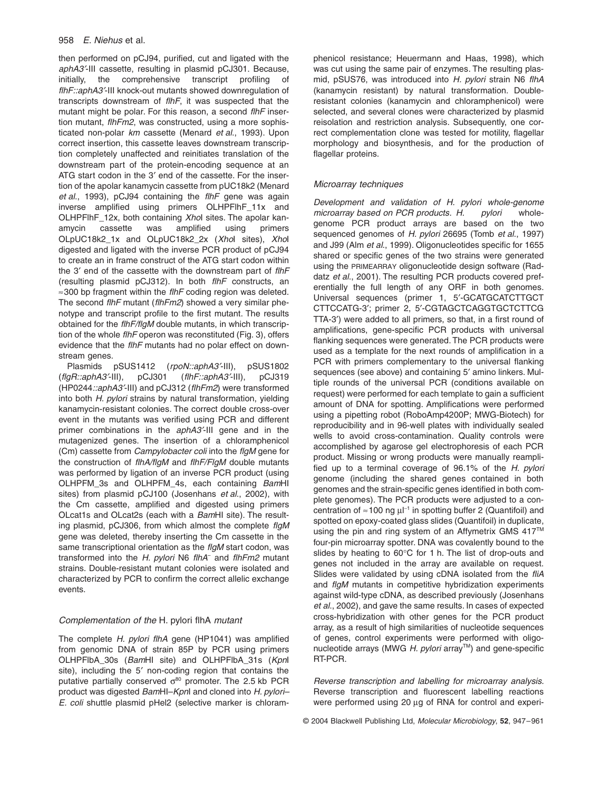## 958 *E. Niehus* et al.

then performed on pCJ94, purified, cut and ligated with the *aphA3*¢-III cassette, resulting in plasmid pCJ301. Because, initially, the comprehensive transcript profiling of *flhF::aphA3*¢-III knock-out mutants showed downregulation of transcripts downstream of *flhF*, it was suspected that the mutant might be polar. For this reason, a second *flhF* insertion mutant, *flhFm2*, was constructed, using a more sophisticated non-polar *km* cassette (Menard *et al*., 1993). Upon correct insertion, this cassette leaves downstream transcription completely unaffected and reinitiates translation of the downstream part of the protein-encoding sequence at an ATG start codon in the 3' end of the cassette. For the insertion of the apolar kanamycin cassette from pUC18k2 (Menard *et al*., 1993), pCJ94 containing the *flhF* gene was again inverse amplified using primers OLHPFlhF\_11x and OLHPFlhF\_12x, both containing *Xho*I sites. The apolar kanamycin cassette was amplified using primers OLpUC18k2\_1x and OLpUC18k2\_2x (*Xho*I sites), *Xho*I digested and ligated with the inverse PCR product of pCJ94 to create an in frame construct of the ATG start codon within the 3¢ end of the cassette with the downstream part of *flhF* (resulting plasmid pCJ312). In both *flhF* constructs, an ≈300 bp fragment within the *flhF* coding region was deleted. The second *flhF* mutant (*flhFm2*) showed a very similar phenotype and transcript profile to the first mutant. The results obtained for the *flhF/flgM* double mutants, in which transcription of the whole *flhF* operon was reconstituted (Fig. 3), offers evidence that the *flhF* mutants had no polar effect on downstream genes.

Plasmids pSUS1412 (rpoN::aphA3<sup>2</sup>-III), pSUS1802 (*flgR::aphA3*¢-III), pCJ301 (*flhF::aphA3*¢-III), pCJ319 (HP0244*::aphA3*¢-III) and pCJ312 (*flhFm2*) were transformed into both *H. pylori* strains by natural transformation, yielding kanamycin-resistant colonies. The correct double cross-over event in the mutants was verified using PCR and different primer combinations in the *aphA3*¢-III gene and in the mutagenized genes. The insertion of a chloramphenicol (Cm) cassette from *Campylobacter coli* into the *flgM* gene for the construction of *flhA/flgM* and *flhF/FlgM* double mutants was performed by ligation of an inverse PCR product (using OLHPFM\_3s and OLHPFM\_4s, each containing *Bam*HI sites) from plasmid pCJ100 (Josenhans *et al*., 2002), with the Cm cassette, amplified and digested using primers OLcat1s and OLcat2s (each with a *Bam*HI site). The resulting plasmid, pCJ306, from which almost the complete *flgM* gene was deleted, thereby inserting the Cm cassette in the same transcriptional orientation as the *flgM* start codon, was transformed into the *H. pylori* N6 *flhA*– and *flhFm2* mutant strains. Double-resistant mutant colonies were isolated and characterized by PCR to confirm the correct allelic exchange events.

## *Complementation of the* H. pylori flhA *mutant*

The complete *H. pylori flhA* gene (HP1041) was amplified from genomic DNA of strain 85P by PCR using primers OLHPFlbA\_30s (*Bam*HI site) and OLHPFlbA\_31s (*Kpn*I site), including the 5' non-coding region that contains the putative partially conserved  $\sigma^{80}$  promoter. The 2.5 kb PCR product was digested *Bam*HI–*Kpn*I and cloned into *H. pylori– E. coli* shuttle plasmid pHel2 (selective marker is chloramphenicol resistance; Heuermann and Haas, 1998), which was cut using the same pair of enzymes. The resulting plasmid, pSUS76, was introduced into *H. pylori* strain N6 *flhA* (kanamycin resistant) by natural transformation. Doubleresistant colonies (kanamycin and chloramphenicol) were selected, and several clones were characterized by plasmid reisolation and restriction analysis. Subsequently, one correct complementation clone was tested for motility, flagellar morphology and biosynthesis, and for the production of flagellar proteins.

# *Microarray techniques*

*Development and validation of H. pylori whole-genome microarray based on PCR products. H. pylori* wholegenome PCR product arrays are based on the two sequenced genomes of *H. pylori* 26695 (Tomb *et al*., 1997) and J99 (Alm *et al*., 1999). Oligonucleotides specific for 1655 shared or specific genes of the two strains were generated using the PRIMEARRAY oligonucleotide design software (Raddatz *et al*., 2001). The resulting PCR products covered preferentially the full length of any ORF in both genomes. Universal sequences (primer 1, 5'-GCATGCATCTTGCT CTTCCATG-3¢; primer 2, 5¢-CGTAGCTCAGGTGCTCTTCG TTA-3<sup>\*</sup>) were added to all primers, so that, in a first round of amplifications, gene-specific PCR products with universal flanking sequences were generated. The PCR products were used as a template for the next rounds of amplification in a PCR with primers complementary to the universal flanking sequences (see above) and containing 5' amino linkers. Multiple rounds of the universal PCR (conditions available on request) were performed for each template to gain a sufficient amount of DNA for spotting. Amplifications were performed using a pipetting robot (RoboAmp4200P; MWG-Biotech) for reproducibility and in 96-well plates with individually sealed wells to avoid cross-contamination. Quality controls were accomplished by agarose gel electrophoresis of each PCR product. Missing or wrong products were manually reamplified up to a terminal coverage of 96.1% of the *H. pylori* genome (including the shared genes contained in both genomes and the strain-specific genes identified in both complete genomes). The PCR products were adjusted to a concentration of  $\approx$  100 ng  $\mu$ <sup>[-1</sup>] in spotting buffer 2 (Quantifoil) and spotted on epoxy-coated glass slides (Quantifoil) in duplicate, using the pin and ring system of an Affymetrix GMS 417<sup>TM</sup> four-pin microarray spotter. DNA was covalently bound to the slides by heating to 60∞C for 1 h. The list of drop-outs and genes not included in the array are available on request. Slides were validated by using cDNA isolated from the *fliA* and *flgM* mutants in competitive hybridization experiments against wild-type cDNA, as described previously (Josenhans *et al*., 2002), and gave the same results. In cases of expected cross-hybridization with other genes for the PCR product array, as a result of high similarities of nucleotide sequences of genes, control experiments were performed with oligonucleotide arrays (MWG *H. pylori* array<sup>™</sup>) and gene-specific RT-PCR.

*Reverse transcription and labelling for microarray analysis.* Reverse transcription and fluorescent labelling reactions were performed using 20 µg of RNA for control and experi-

© 2004 Blackwell Publishing Ltd, *Molecular Microbiology*, **52**, 947–961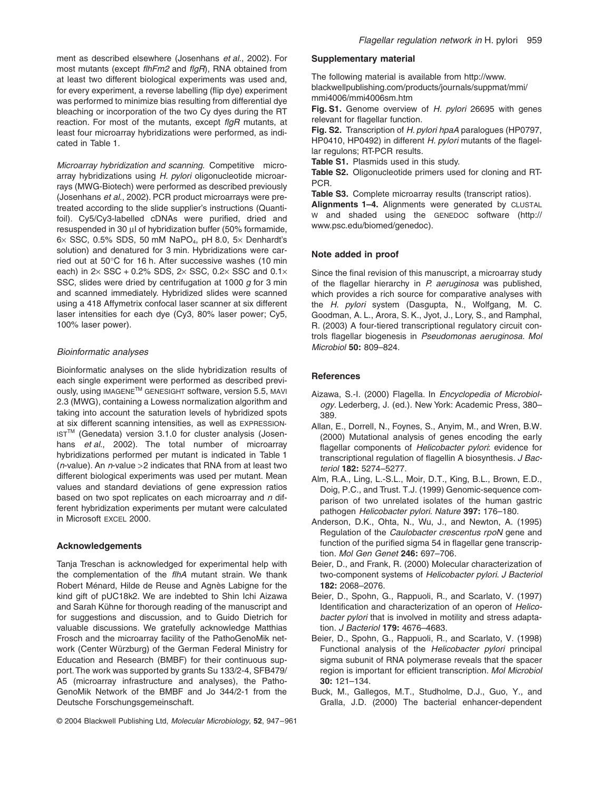ment as described elsewhere (Josenhans *et al*., 2002). For most mutants (except *flhFm2* and *flgR*), RNA obtained from at least two different biological experiments was used and, for every experiment, a reverse labelling (flip dye) experiment was performed to minimize bias resulting from differential dye bleaching or incorporation of the two Cy dyes during the RT reaction. For most of the mutants, except *flgR* mutants, at least four microarray hybridizations were performed, as indicated in Table 1.

*Microarray hybridization and scanning.* Competitive microarray hybridizations using *H. pylori* oligonucleotide microarrays (MWG-Biotech) were performed as described previously (Josenhans *et al*., 2002). PCR product microarrays were pretreated according to the slide supplier's instructions (Quantifoil). Cy5/Cy3-labelled cDNAs were purified, dried and resuspended in 30  $\mu$  of hybridization buffer (50% formamide,  $6\times$  SSC, 0.5% SDS, 50 mM NaPO<sub>4</sub>, pH 8.0, 5 $\times$  Denhardt's solution) and denatured for 3 min. Hybridizations were carried out at 50∞C for 16 h. After successive washes (10 min each) in  $2 \times$  SSC + 0.2% SDS,  $2 \times$  SSC, 0.2 $\times$  SSC and 0.1 $\times$ SSC, slides were dried by centrifugation at 1000 *g* for 3 min and scanned immediately. Hybridized slides were scanned using a 418 Affymetrix confocal laser scanner at six different laser intensities for each dye (Cy3, 80% laser power; Cy5, 100% laser power).

## *Bioinformatic analyses*

Bioinformatic analyses on the slide hybridization results of each single experiment were performed as described previously, using IMAGENETM GENESIGHT software, version 5.5, MAVI 2.3 (MWG), containing a Lowess normalization algorithm and taking into account the saturation levels of hybridized spots at six different scanning intensities, as well as EXPRESSION-IST<sup>™</sup> (Genedata) version 3.1.0 for cluster analysis (Josenhans *et al*., 2002). The total number of microarray hybridizations performed per mutant is indicated in Table 1 (*n*-value). An *n*-value >2 indicates that RNA from at least two different biological experiments was used per mutant. Mean values and standard deviations of gene expression ratios based on two spot replicates on each microarray and *n* different hybridization experiments per mutant were calculated in Microsoft EXCEL 2000.

#### **Acknowledgements**

Tanja Treschan is acknowledged for experimental help with the complementation of the *flhA* mutant strain. We thank Robert Ménard, Hilde de Reuse and Agnès Labigne for the kind gift of pUC18k2. We are indebted to Shin Ichi Aizawa and Sarah Kühne for thorough reading of the manuscript and for suggestions and discussion, and to Guido Dietrich for valuable discussions. We gratefully acknowledge Matthias Frosch and the microarray facility of the PathoGenoMik network (Center Würzburg) of the German Federal Ministry for Education and Research (BMBF) for their continuous support. The work was supported by grants Su 133/2-4, SFB479/ A5 (microarray infrastructure and analyses), the Patho-GenoMik Network of the BMBF and Jo 344/2-1 from the Deutsche Forschungsgemeinschaft.

# **Supplementary material**

The following material is available from [http://www.](http://www) blackwellpublishing.com/products/journals/suppmat/mmi/ mmi4006/mmi4006sm.htm

**Fig. S1.** Genome overview of *H. pylori* 26695 with genes relevant for flagellar function.

**Fig. S2.** Transcription of *H. pylori hpaA* paralogues (HP0797, HP0410, HP0492) in different *H. pylori* mutants of the flagellar regulons; RT-PCR results.

**Table S1.** Plasmids used in this study.

**Table S2.** Oligonucleotide primers used for cloning and RT-PCR.

**Table S3.** Complete microarray results (transcript ratios).

**Alignments 1–4.** Alignments were generated by CLUSTAL W and shaded using the GENEDOC software (<http://> www.psc.edu/biomed/genedoc).

#### **Note added in proof**

Since the final revision of this manuscript, a microarray study of the flagellar hierarchy in *P. aeruginosa* was published, which provides a rich source for comparative analyses with the *H. pylori* system (Dasgupta, N., Wolfgang, M. C. Goodman, A. L., Arora, S. K., Jyot, J., Lory, S., and Ramphal, R. (2003) A four-tiered transcriptional regulatory circuit controls flagellar biogenesis in *Pseudomonas aeruginosa*. *Mol Microbiol* **50:** 809–824.

#### **References**

- Aizawa, S.-I. (2000) Flagella. In *Encyclopedia of Microbiology*. Lederberg, J. (ed.). New York: Academic Press, 380– 389.
- Allan, E., Dorrell, N., Foynes, S., Anyim, M., and Wren, B.W. (2000) Mutational analysis of genes encoding the early flagellar components of *Helicobacter pylori*: evidence for transcriptional regulation of flagellin A biosynthesis. *J Bacteriol* **182:** 5274–5277.
- Alm, R.A., Ling, L.-S.L., Moir, D.T., King, B.L., Brown, E.D., Doig, P.C., and Trust. T.J. (1999) Genomic-sequence comparison of two unrelated isolates of the human gastric pathogen *Helicobacter pylori*. *Nature* **397:** 176–180.
- Anderson, D.K., Ohta, N., Wu, J., and Newton, A. (1995) Regulation of the *Caulobacter crescentus rpoN* gene and function of the purified sigma 54 in flagellar gene transcription. *Mol Gen Genet* **246:** 697–706.
- Beier, D., and Frank, R. (2000) Molecular characterization of two-component systems of *Helicobacter pylori*. *J Bacteriol* **182:** 2068–2076.
- Beier, D., Spohn, G., Rappuoli, R., and Scarlato, V. (1997) Identification and characterization of an operon of *Helicobacter pylori* that is involved in motility and stress adaptation. *J Bacteriol* **179:** 4676–4683.
- Beier, D., Spohn, G., Rappuoli, R., and Scarlato, V. (1998) Functional analysis of the *Helicobacter pylori* principal sigma subunit of RNA polymerase reveals that the spacer region is important for efficient transcription. *Mol Microbiol* **30:** 121–134.
- Buck, M., Gallegos, M.T., Studholme, D.J., Guo, Y., and Gralla, J.D. (2000) The bacterial enhancer-dependent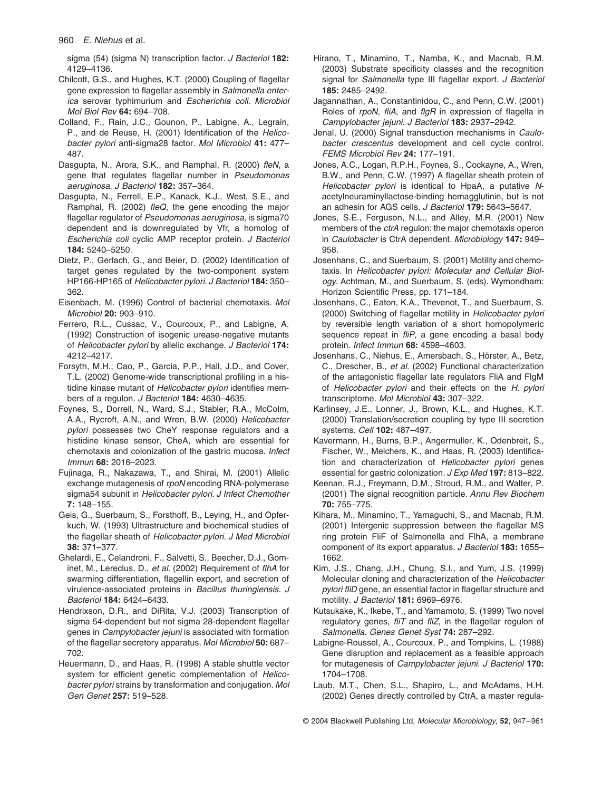960 *E. Niehus* et al.

sigma (54) (sigma N) transcription factor. *J Bacteriol* **182:** 4129–4136.

- Chilcott, G.S., and Hughes, K.T. (2000) Coupling of flagellar gene expression to flagellar assembly in *Salmonella enterica* serovar typhimurium and *Escherichia coli*. *Microbiol Mol Biol Rev* **64:** 694–708.
- Colland, F., Rain, J.C., Gounon, P., Labigne, A., Legrain, P., and de Reuse, H. (2001) Identification of the *Helicobacter pylori* anti-sigma28 factor. *Mol Microbiol* **41:** 477– 487.
- Dasgupta, N., Arora, S.K., and Ramphal, R. (2000) *fleN*, a gene that regulates flagellar number in *Pseudomonas aeruginosa*. *J Bacteriol* **182:** 357–364.
- Dasgupta, N., Ferrell, E.P., Kanack, K.J., West, S.E., and Ramphal, R. (2002) *fleQ*, the gene encoding the major flagellar regulator of *Pseudomonas aeruginosa*, is sigma70 dependent and is downregulated by Vfr, a homolog of *Escherichia coli* cyclic AMP receptor protein. *J Bacteriol* **184:** 5240–5250.
- Dietz, P., Gerlach, G., and Beier, D. (2002) Identification of target genes regulated by the two-component system HP166-HP165 of *Helicobacter pylori*. *J Bacteriol* **184:** 350– 362.
- Eisenbach, M. (1996) Control of bacterial chemotaxis. *Mol Microbiol* **20:** 903–910.
- Ferrero, R.L., Cussac, V., Courcoux, P., and Labigne, A. (1992) Construction of isogenic urease-negative mutants of *Helicobacter pylori* by allelic exchange. *J Bacteriol* **174:** 4212–4217.
- Forsyth, M.H., Cao, P., Garcia, P.P., Hall, J.D., and Cover, T.L. (2002) Genome-wide transcriptional profiling in a histidine kinase mutant of *Helicobacter pylori* identifies members of a regulon. *J Bacteriol* **184:** 4630–4635.
- Foynes, S., Dorrell, N., Ward, S.J., Stabler, R.A., McColm, A.A., Rycroft, A.N., and Wren, B.W. (2000) *Helicobacter pylori* possesses two CheY response regulators and a histidine kinase sensor, CheA, which are essential for chemotaxis and colonization of the gastric mucosa. *Infect Immun* **68:** 2016–2023.
- Fujinaga, R., Nakazawa, T., and Shirai, M. (2001) Allelic exchange mutagenesis of *rpoN* encoding RNA-polymerase sigma54 subunit in *Helicobacter pylori*. *J Infect Chemother* **7:** 148–155.
- Geis, G., Suerbaum, S., Forsthoff, B., Leying, H., and Opferkuch, W. (1993) Ultrastructure and biochemical studies of the flagellar sheath of *Helicobacter pylori*. *J Med Microbiol* **38:** 371–377.
- Ghelardi, E., Celandroni, F., Salvetti, S., Beecher, D.J., Gominet, M., Lereclus, D., *et al.* (2002) Requirement of *flhA* for swarming differentiation, flagellin export, and secretion of virulence-associated proteins in *Bacillus thuringiensis*. *J Bacteriol* **184:** 6424–6433.
- Hendrixson, D.R., and DiRita, V.J. (2003) Transcription of sigma 54-dependent but not sigma 28-dependent flagellar genes in *Campylobacter jejuni* is associated with formation of the flagellar secretory apparatus. *Mol Microbiol* **50:** 687– 702.
- Heuermann, D., and Haas, R. (1998) A stable shuttle vector system for efficient genetic complementation of *Helicobacter pylori* strains by transformation and conjugation. *Mol Gen Genet* **257:** 519–528.
- Hirano, T., Minamino, T., Namba, K., and Macnab, R.M. (2003) Substrate specificity classes and the recognition signal for *Salmonella* type III flagellar export. *J Bacteriol* **185:** 2485–2492.
- Jagannathan, A., Constantinidou, C., and Penn, C.W. (2001) Roles of *rpoN*, *fliA*, and *flgR* in expression of flagella in *Campylobacter jejuni*. *J Bacteriol* **183:** 2937–2942.
- Jenal, U. (2000) Signal transduction mechanisms in *Caulobacter crescentus* development and cell cycle control. *FEMS Microbiol Rev* **24:** 177–191.
- Jones, A.C., Logan, R.P.H., Foynes, S., Cockayne, A., Wren, B.W., and Penn, C.W. (1997) A flagellar sheath protein of *Helicobacter pylori* is identical to HpaA, a putative *N*acetylneuraminyllactose-binding hemagglutinin, but is not an adhesin for AGS cells. *J Bacteriol* **179:** 5643–5647.
- Jones, S.E., Ferguson, N.L., and Alley, M.R. (2001) New members of the *ctrA* regulon: the major chemotaxis operon in *Caulobacter* is CtrA dependent. *Microbiology* **147:** 949– 958.
- Josenhans, C., and Suerbaum, S. (2001) Motility and chemotaxis. In *Helicobacter pylori: Molecular and Cellular Biology*. Achtman, M., and Suerbaum, S. (eds). Wymondham: Horizon Scientific Press, pp. 171–184.
- Josenhans, C., Eaton, K.A., Thevenot, T., and Suerbaum, S. (2000) Switching of flagellar motility in *Helicobacter pylori* by reversible length variation of a short homopolymeric sequence repeat in *fliP*, a gene encoding a basal body protein. *Infect Immun* **68:** 4598–4603.
- Josenhans, C., Niehus, E., Amersbach, S., Hörster, A., Betz, C., Drescher, B., *et al.* (2002) Functional characterization of the antagonistic flagellar late regulators FliA and FlgM of *Helicobacter pylori* and their effects on the *H. pylori* transcriptome. *Mol Microbiol* **43:** 307–322.
- Karlinsey, J.E., Lonner, J., Brown, K.L., and Hughes, K.T. (2000) Translation/secretion coupling by type III secretion systems. *Cell* **102:** 487–497.
- Kavermann, H., Burns, B.P., Angermuller, K., Odenbreit, S., Fischer, W., Melchers, K., and Haas, R. (2003) Identification and characterization of *Helicobacter pylori* genes essential for gastric colonization. *J Exp Med* **197:** 813–822.
- Keenan, R.J., Freymann, D.M., Stroud, R.M., and Walter, P. (2001) The signal recognition particle. *Annu Rev Biochem* **70:** 755–775.
- Kihara, M., Minamino, T., Yamaguchi, S., and Macnab, R.M. (2001) Intergenic suppression between the flagellar MS ring protein FliF of Salmonella and FlhA, a membrane component of its export apparatus. *J Bacteriol* **183:** 1655– 1662.
- Kim, J.S., Chang, J.H., Chung, S.I., and Yum, J.S. (1999) Molecular cloning and characterization of the *Helicobacter pylori fliD* gene, an essential factor in flagellar structure and motility. *J Bacteriol* **181:** 6969–6976.
- Kutsukake, K., Ikebe, T., and Yamamoto, S. (1999) Two novel regulatory genes, *fliT* and *fliZ*, in the flagellar regulon of *Salmonella*. *Genes Genet Syst* **74:** 287–292.
- Labigne-Roussel, A., Courcoux, P., and Tompkins, L. (1988) Gene disruption and replacement as a feasible approach for mutagenesis of *Campylobacter jejuni*. *J Bacteriol* **170:** 1704–1708.
- Laub, M.T., Chen, S.L., Shapiro, L., and McAdams, H.H. (2002) Genes directly controlled by CtrA, a master regula-